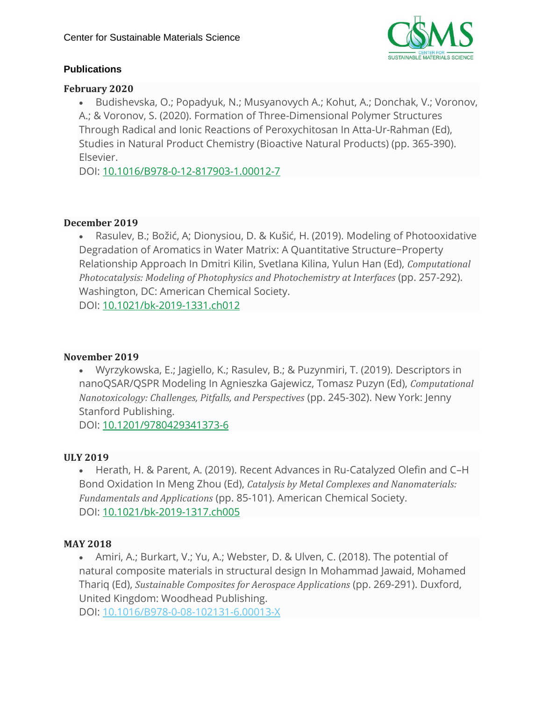

#### **Publications**

#### **February 2020**

• Budishevska, O.; Popadyuk, N.; Musyanovych A.; Kohut, A.; Donchak, V.; Voronov, A.; & Voronov, S. (2020). Formation of Three-Dimensional Polymer Structures Through Radical and Ionic Reactions of Peroxychitosan In Atta-Ur-Rahman (Ed), Studies in Natural Product Chemistry (Bioactive Natural Products) (pp. 365-390). Elsevier.

DOI: [10.1016/B978-0-12-817903-1.00012-7](https://www.sciencedirect.com/science/article/pii/B9780128179031000127?via%3Dihub)

#### **December 2019**

• Rasulev, B.; Božić, A; Dionysiou, D. & Kušić, H. (2019). Modeling of Photooxidative Degradation of Aromatics in Water Matrix: A Quantitative Structure−Property Relationship Approach In Dmitri Kilin, Svetlana Kilina, Yulun Han (Ed), *Computational Photocatalysis: Modeling of Photophysics and Photochemistry at Interfaces* (pp. 257-292). Washington, DC: American Chemical Society. DOI: [10.1021/bk-2019-1331.ch012](https://pubs.acs.org/doi/abs/10.1021/bk-2019-1331.ch012)

#### **November 2019**

• Wyrzykowska, E.; Jagiello, K.; Rasulev, B.; & Puzynmiri, T. (2019). Descriptors in nanoQSAR/QSPR Modeling In Agnieszka Gajewicz, Tomasz Puzyn (Ed), *Computational Nanotoxicology: Challenges, Pitfalls, and Perspectives* (pp. 245-302). New York: Jenny Stanford Publishing.

DOI: [10.1201/9780429341373-6](https://www.taylorfrancis.com/books/e/9780429341373/chapters/10.1201/9780429341373-6)

#### **ULY 2019**

• Herath, H. & Parent, A. (2019). Recent Advances in Ru-Catalyzed Olefin and C–H Bond Oxidation In Meng Zhou (Ed), *Catalysis by Metal Complexes and Nanomaterials: Fundamentals and Applications* (pp. 85-101). American Chemical Society. DOI: [10.1021/bk-2019-1317.ch005](https://pubs.acs.org/doi/abs/10.1021/bk-2019-1317.ch005)

#### **MAY 2018**

• Amiri, A.; Burkart, V.; Yu, A.; Webster, D. & Ulven, C. (2018). The potential of natural composite materials in structural design In Mohammad Jawaid, Mohamed Thariq (Ed), *Sustainable Composites for Aerospace Applications* (pp. 269-291). Duxford, United Kingdom: Woodhead Publishing.

DOI: [10.1016/B978-0-08-102131-6.00013-X](https://doi.org/10.1016/B978-0-08-102131-6.00013-X)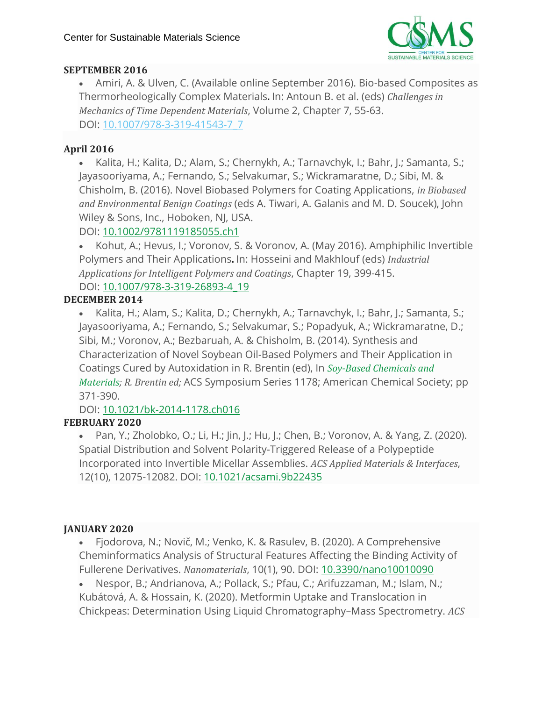

# **SEPTEMBER 2016**

• Amiri, A. & Ulven, C. (Available online September 2016). Bio-based Composites as Thermorheologically Complex Materials**.** In: Antoun B. et al. (eds) *Challenges in Mechanics of Time Dependent Materials*, Volume 2, Chapter 7, 55-63. DOI: [10.1007/978-3-319-41543-7\\_7](https://link.springer.com/chapter/10.1007/978-3-319-41543-7_7)

# **April 2016**

• Kalita, H.; Kalita, D.; Alam, S.; Chernykh, A.; Tarnavchyk, I.; Bahr, J.; Samanta, S.; Jayasooriyama, A.; Fernando, S.; Selvakumar, S.; Wickramaratne, D.; Sibi, M. & Chisholm, B. (2016). Novel Biobased Polymers for Coating Applications, *in Biobased and Environmental Benign Coatings* (eds A. Tiwari, A. Galanis and M. D. Soucek), John Wiley & Sons, Inc., Hoboken, NJ, USA.

# DOI: [10.1002/9781119185055.ch1](http://dx.doi.org/10.1002/9781119185055.ch1)

• Kohut, A.; Hevus, I.; Voronov, S. & Voronov, A. (May 2016). Amphiphilic Invertible Polymers and Their Applications**.** In: Hosseini and Makhlouf (eds) *Industrial Applications for Intelligent Polymers and Coatings*, Chapter 19, 399-415. DOI: [10.1007/978-3-319-26893-4\\_19](https://link.springer.com/chapter/10.1007%2F978-3-319-26893-4_19)

# **DECEMBER 2014**

• Kalita, H.; Alam, S.; Kalita, D.; Chernykh, A.; Tarnavchyk, I.; Bahr, J.; Samanta, S.; Jayasooriyama, A.; Fernando, S.; Selvakumar, S.; Popadyuk, A.; Wickramaratne, D.; Sibi, M.; Voronov, A.; Bezbaruah, A. & Chisholm, B. (2014). Synthesis and Characterization of Novel Soybean Oil-Based Polymers and Their Application in Coatings Cured by Autoxidation in R. Brentin (ed), In *[Soy-Based](http://pubs.acs.org/isbn/9780841230064) Chemicals and [Materials;](http://pubs.acs.org/isbn/9780841230064) R. Brentin ed;* ACS Symposium Series 1178; American Chemical Society; pp 371-390.

DOI: [10.1021/bk-2014-1178.ch016](http://dx.doi.org/10.1021/bk-2014-1178.ch016)

# **FEBRUARY 2020**

• Pan, Y.; Zholobko, O.; Li, H.; Jin, J.; Hu, J.; Chen, B.; Voronov, A. & Yang, Z. (2020). Spatial Distribution and Solvent Polarity-Triggered Release of a Polypeptide Incorporated into Invertible Micellar Assemblies. *ACS Applied Materials & Interfaces*, 12(10), 12075-12082. DOI: [10.1021/acsami.9b22435](https://pubs.acs.org/doi/10.1021/acsami.9b22435)

# **JANUARY 2020**

• Fjodorova, N.; Novič, M.; Venko, K. & Rasulev, B. (2020). A Comprehensive Cheminformatics Analysis of Structural Features Affecting the Binding Activity of Fullerene Derivatives. *Nanomaterials*, 10(1), 90. DOI: [10.3390/nano10010090](https://www.mdpi.com/2079-4991/10/1/90)

• Nespor, B.; Andrianova, A.; Pollack, S.; Pfau, C.; Arifuzzaman, M.; Islam, N.; Kubátová, A. & Hossain, K. (2020). Metformin Uptake and Translocation in Chickpeas: Determination Using Liquid Chromatography–Mass Spectrometry. *ACS*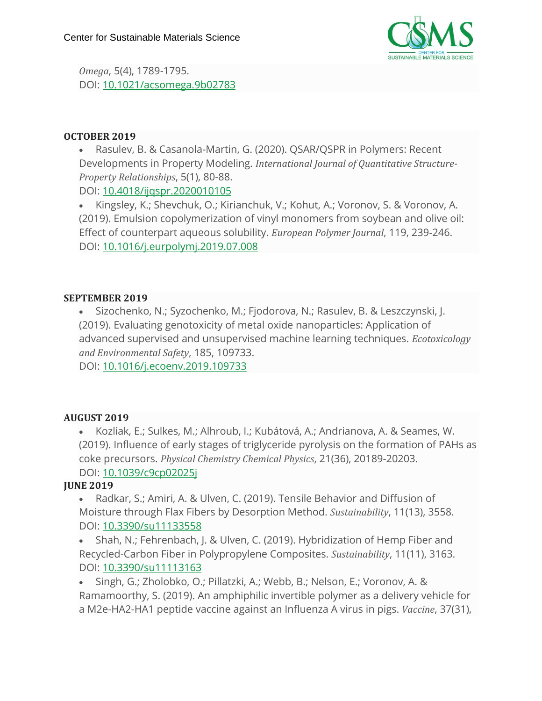

*Omega*, 5(4), 1789-1795. DOI: [10.1021/acsomega.9b02783](https://pubs.acs.org/doi/10.1021/acsomega.9b02783)

#### **OCTOBER 2019**

• Rasulev, B. & Casanola-Martin, G. (2020). QSAR/QSPR in Polymers: Recent Developments in Property Modeling. *International Journal of Quantitative Structure-Property Relationships*, 5(1), 80-88.

DOI: [10.4018/ijqspr.2020010105](https://www.igi-global.com/gateway/article/239624)

• Kingsley, K.; Shevchuk, O.; Kirianchuk, V.; Kohut, A.; Voronov, S. & Voronov, A. (2019). Emulsion copolymerization of vinyl monomers from soybean and olive oil: Effect of counterpart aqueous solubility. *European Polymer Journal*, 119, 239-246. DOI: [10.1016/j.eurpolymj.2019.07.008](https://www.sciencedirect.com/science/article/abs/pii/S0014305719307554?via%3Dihub)

#### **SEPTEMBER 2019**

• Sizochenko, N.; Syzochenko, M.; Fjodorova, N.; Rasulev, B. & Leszczynski, J. (2019). Evaluating genotoxicity of metal oxide nanoparticles: Application of advanced supervised and unsupervised machine learning techniques. *Ecotoxicology and Environmental Safety*, 185, 109733.

DOI: [10.1016/j.ecoenv.2019.109733](https://www.sciencedirect.com/science/article/abs/pii/S0147651319310644?via%3Dihub)

#### **AUGUST 2019**

• Kozliak, E.; Sulkes, M.; Alhroub, I.; Kubátová, A.; Andrianova, A. & Seames, W. (2019). Influence of early stages of triglyceride pyrolysis on the formation of PAHs as coke precursors. *Physical Chemistry Chemical Physics*, 21(36), 20189-20203. DOI: [10.1039/c9cp02025j](https://pubs.rsc.org/en/content/articlelanding/2019/CP/C9CP02025J#!divAbstract)

#### **JUNE 2019**

• Radkar, S.; Amiri, A. & Ulven, C. (2019). Tensile Behavior and Diffusion of Moisture through Flax Fibers by Desorption Method. *Sustainability*, 11(13), 3558. DOI: [10.3390/su11133558](https://www.mdpi.com/2071-1050/11/13/3558)

• Shah, N.; Fehrenbach, J. & Ulven, C. (2019). Hybridization of Hemp Fiber and Recycled-Carbon Fiber in Polypropylene Composites. *Sustainability*, 11(11), 3163. DOI: [10.3390/su11113163](https://www.mdpi.com/2071-1050/11/11/3163)

• Singh, G.; Zholobko, O.; Pillatzki, A.; Webb, B.; Nelson, E.; Voronov, A. & Ramamoorthy, S. (2019). An amphiphilic invertible polymer as a delivery vehicle for a M2e-HA2-HA1 peptide vaccine against an Influenza A virus in pigs. *Vaccine*, 37(31),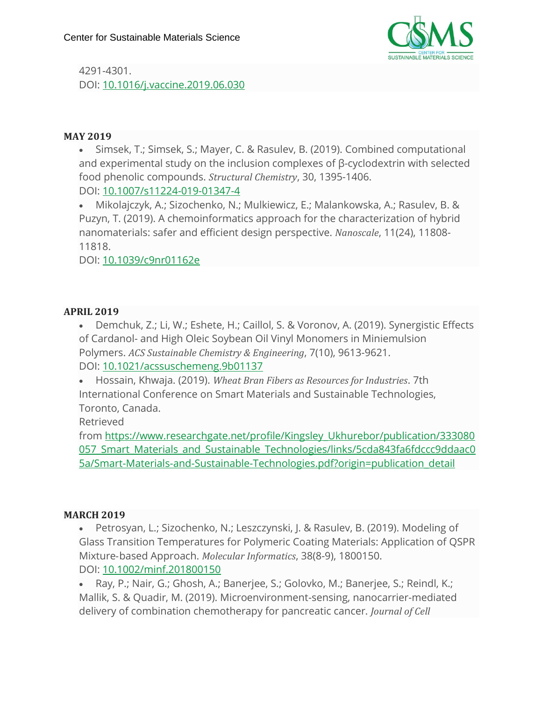

4291-4301. DOI: [10.1016/j.vaccine.2019.06.030](https://www.sciencedirect.com/science/article/pii/S0264410X19307923?via%3Dihub)

#### **MAY 2019**

• Simsek, T.; Simsek, S.; Mayer, C. & Rasulev, B. (2019). Combined computational and experimental study on the inclusion complexes of β-cyclodextrin with selected food phenolic compounds. *Structural Chemistry*, 30, 1395-1406. DOI: [10.1007/s11224-019-01347-4](https://link.springer.com/article/10.1007%2Fs11224-019-01347-4)

• Mikolajczyk, A.; Sizochenko, N.; Mulkiewicz, E.; Malankowska, A.; Rasulev, B. & Puzyn, T. (2019). A chemoinformatics approach for the characterization of hybrid nanomaterials: safer and efficient design perspective. *Nanoscale*, 11(24), 11808- 11818.

DOI: [10.1039/c9nr01162e](https://pubs.rsc.org/en/content/articlelanding/2019/NR/C9NR01162E#!divAbstract)

#### **APRIL 2019**

• Demchuk, Z.; Li, W.; Eshete, H.; Caillol, S. & Voronov, A. (2019). Synergistic Effects of Cardanol- and High Oleic Soybean Oil Vinyl Monomers in Miniemulsion Polymers. *ACS Sustainable Chemistry & Engineering*, 7(10), 9613-9621. DOI: [10.1021/acssuschemeng.9b01137](https://pubs.acs.org/doi/10.1021/acssuschemeng.9b01137)

• Hossain, Khwaja. (2019). *Wheat Bran Fibers as Resources for Industries*. 7th International Conference on Smart Materials and Sustainable Technologies, Toronto, Canada.

Retrieved

from [https://www.researchgate.net/profile/Kingsley\\_Ukhurebor/publication/333080](https://www.researchgate.net/profile/Kingsley_Ukhurebor/publication/333080057_Smart_Materials_and_Sustainable_Technologies/links/5cda843fa6fdccc9ddaac05a/Smart-Materials-and-Sustainable-Technologies.pdf?origin=publication_detail) 057 Smart Materials and Sustainable Technologies/links/5cda843fa6fdccc9ddaac0 [5a/Smart-Materials-and-Sustainable-Technologies.pdf?origin=publication\\_detail](https://www.researchgate.net/profile/Kingsley_Ukhurebor/publication/333080057_Smart_Materials_and_Sustainable_Technologies/links/5cda843fa6fdccc9ddaac05a/Smart-Materials-and-Sustainable-Technologies.pdf?origin=publication_detail)

#### **MARCH 2019**

• Petrosyan, L.; Sizochenko, N.; Leszczynski, J. & Rasulev, B. (2019). Modeling of Glass Transition Temperatures for Polymeric Coating Materials: Application of QSPR Mixture‐based Approach. *Molecular Informatics*, 38(8-9), 1800150. DOI: [10.1002/minf.201800150](https://onlinelibrary.wiley.com/doi/full/10.1002/minf.201800150)

• Ray, P.; Nair, G.; Ghosh, A.; Banerjee, S.; Golovko, M.; Banerjee, S.; Reindl, K.; Mallik, S. & Quadir, M. (2019). Microenvironment-sensing, nanocarrier-mediated delivery of combination chemotherapy for pancreatic cancer. *Journal of Cell*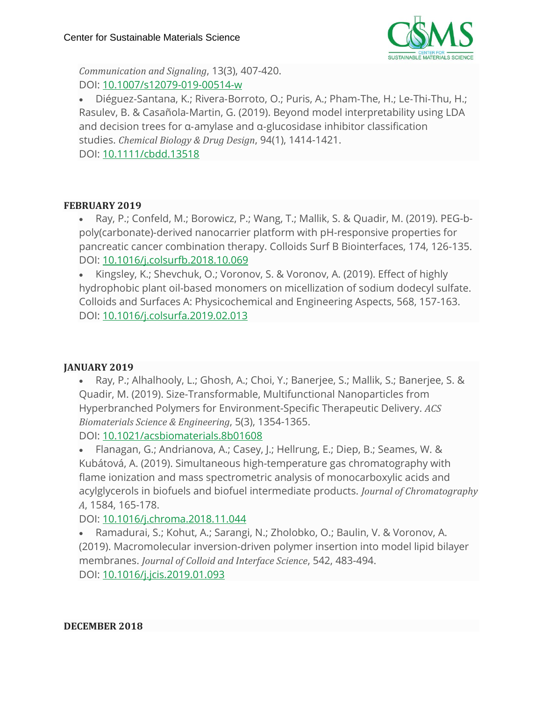

*Communication and Signaling*, 13(3), 407-420. DOI: [10.1007/s12079-019-00514-w](https://link.springer.com/article/10.1007%2Fs12079-019-00514-w)

• Diéguez‐Santana, K.; Rivera‐Borroto, O.; Puris, A.; Pham‐The, H.; Le‐Thi‐Thu, H.; Rasulev, B. & Casañola‐Martin, G. (2019). Beyond model interpretability using LDA and decision trees for α‐amylase and α‐glucosidase inhibitor classification studies. *Chemical Biology & Drug Design*, 94(1), 1414-1421.

DOI: [10.1111/cbdd.13518](https://onlinelibrary.wiley.com/doi/abs/10.1111/cbdd.13518)

#### **FEBRUARY 2019**

• Ray, P.; Confeld, M.; Borowicz, P.; Wang, T.; Mallik, S. & Quadir, M. (2019). PEG-bpoly(carbonate)-derived nanocarrier platform with pH-responsive properties for pancreatic cancer combination therapy. Colloids Surf B Biointerfaces, 174, 126-135. DOI: [10.1016/j.colsurfb.2018.10.069](https://www.sciencedirect.com/science/article/pii/S092777651830763X?via%3Dihub)

• Kingsley, K.; Shevchuk, O.; Voronov, S. & Voronov, A. (2019). Effect of highly hydrophobic plant oil-based monomers on micellization of sodium dodecyl sulfate. Colloids and Surfaces A: Physicochemical and Engineering Aspects, 568, 157-163. DOI: [10.1016/j.colsurfa.2019.02.013](https://www.sciencedirect.com/science/article/pii/S0927775719301013?via%3Dihub)

# **JANUARY 2019**

• Ray, P.; Alhalhooly, L.; Ghosh, A.; Choi, Y.; Banerjee, S.; Mallik, S.; Banerjee, S. & Quadir, M. (2019). Size-Transformable, Multifunctional Nanoparticles from Hyperbranched Polymers for Environment-Specific Therapeutic Delivery. *ACS Biomaterials Science & Engineering*, 5(3), 1354-1365. DOI: [10.1021/acsbiomaterials.8b01608](https://pubs.acs.org/doi/10.1021/acsbiomaterials.8b01608)

• Flanagan, G.; Andrianova, A.; Casey, J.; Hellrung, E.; Diep, B.; Seames, W. & Kubátová, A. (2019). Simultaneous high-temperature gas chromatography with flame ionization and mass spectrometric analysis of monocarboxylic acids and acylglycerols in biofuels and biofuel intermediate products. *Journal of Chromatography A*, 1584, 165-178.

DOI: [10.1016/j.chroma.2018.11.044](https://www.sciencedirect.com/science/article/pii/S0021967318314444?via%3Dihub)

• Ramadurai, S.; Kohut, A.; Sarangi, N.; Zholobko, O.; Baulin, V. & Voronov, A. (2019). Macromolecular inversion-driven polymer insertion into model lipid bilayer membranes. *Journal of Colloid and Interface Science*, 542, 483-494. DOI: [10.1016/j.jcis.2019.01.093](https://www.sciencedirect.com/science/article/pii/S0021979719301146?via%3Dihub)

**DECEMBER 2018**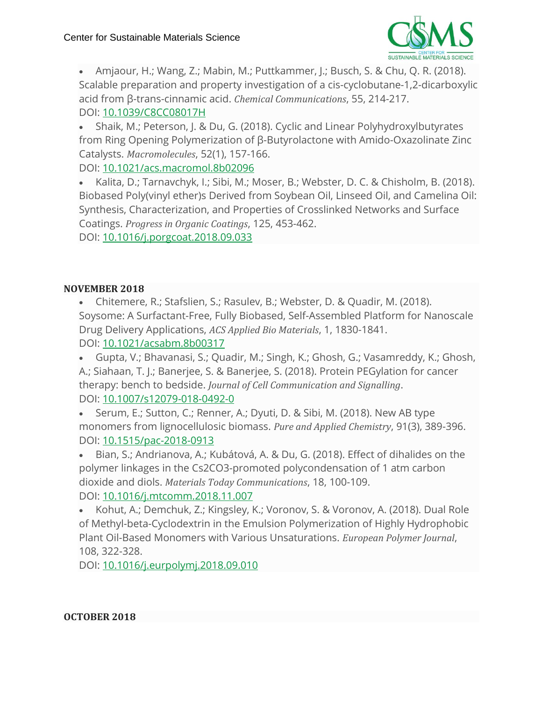

• Amjaour, H.; Wang, Z.; Mabin, M.; Puttkammer, J.; Busch, S. & Chu, Q. R. (2018). Scalable preparation and property investigation of a cis-cyclobutane-1,2-dicarboxylic acid from β-trans-cinnamic acid. *Chemical Communications*, 55, 214-217. DOI: [10.1039/C8CC08017H](https://pubs.rsc.org/en/content/articlelanding/2019/CC/C8CC08017H#!divAbstract)

• Shaik, M.; Peterson, J. & Du, G. (2018). Cyclic and Linear Polyhydroxylbutyrates from Ring Opening Polymerization of β-Butyrolactone with Amido-Oxazolinate Zinc Catalysts. *Macromolecules*, 52(1), 157-166.

DOI: [10.1021/acs.macromol.8b02096](https://pubs.acs.org/doi/10.1021/acs.macromol.8b02096)

• Kalita, D.; Tarnavchyk, I.; Sibi, M.; Moser, B.; Webster, D. C. & Chisholm, B. (2018). Biobased Poly(vinyl ether)s Derived from Soybean Oil, Linseed Oil, and Camelina Oil: Synthesis, Characterization, and Properties of Crosslinked Networks and Surface Coatings. *Progress in Organic Coatings*, 125, 453-462.

DOI: [10.1016/j.porgcoat.2018.09.033](https://www.sciencedirect.com/science/article/pii/S0300944018304533?via%3Dihub)

# **NOVEMBER 2018**

• Chitemere, R.; Stafslien, S.; Rasulev, B.; Webster, D. & Quadir, M. (2018). Soysome: A Surfactant-Free, Fully Biobased, Self-Assembled Platform for Nanoscale Drug Delivery Applications, *ACS Applied Bio Materials*, 1, 1830-1841. DOI: [10.1021/acsabm.8b00317](https://pubs.acs.org/doi/10.1021/acsabm.8b00317)

• Gupta, V.; Bhavanasi, S.; Quadir, M.; Singh, K.; Ghosh, G.; Vasamreddy, K.; Ghosh, A.; Siahaan, T. J.; Banerjee, S. & Banerjee, S. (2018). Protein PEGylation for cancer therapy: bench to bedside. *Journal of Cell Communication and Signalling*. DOI: [10.1007/s12079-018-0492-0](https://link.springer.com/article/10.1007%2Fs12079-018-0492-0)

• Serum, E.; Sutton, C.; Renner, A.; Dyuti, D. & Sibi, M. (2018). New AB type monomers from lignocellulosic biomass. *Pure and Applied Chemistry*, 91(3), 389-396. DOI: [10.1515/pac-2018-0913](https://www.degruyter.com/view/j/pac.2019.91.issue-3/pac-2018-0913/pac-2018-0913.xml)

• Bian, S.; Andrianova, A.; Kubátová, A. & Du, G. (2018). Effect of dihalides on the polymer linkages in the Cs2CO3-promoted polycondensation of 1 atm carbon dioxide and diols. *Materials Today Communications*, 18, 100-109. DOI: [10.1016/j.mtcomm.2018.11.007](https://www.sciencedirect.com/science/article/pii/S2352492818303908)

• Kohut, A.; Demchuk, Z.; Kingsley, K.; Voronov, S. & Voronov, A. (2018). Dual Role of Methyl-beta-Cyclodextrin in the Emulsion Polymerization of Highly Hydrophobic Plant Oil-Based Monomers with Various Unsaturations. *European Polymer Journal*, 108, 322-328.

DOI: [10.1016/j.eurpolymj.2018.09.010](https://www.sciencedirect.com/science/article/pii/S0014305718315532?via%3Dihub)

**OCTOBER 2018**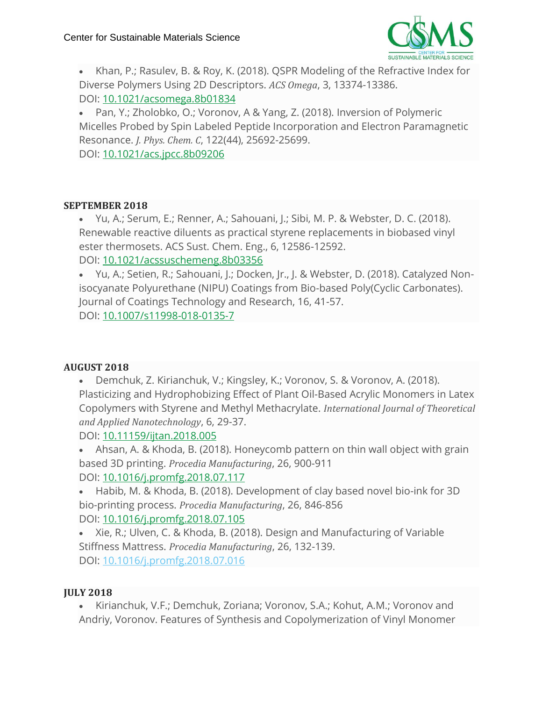

• Khan, P.; Rasulev, B. & Roy, K. (2018). QSPR Modeling of the Refractive Index for Diverse Polymers Using 2D Descriptors. *ACS Omega*, 3, 13374-13386. DOI: [10.1021/acsomega.8b01834](https://pubs.acs.org/doi/10.1021/acsomega.8b01834)

• Pan, Y.; Zholobko, O.; Voronov, A & Yang, Z. (2018). Inversion of Polymeric Micelles Probed by Spin Labeled Peptide Incorporation and Electron Paramagnetic Resonance. *J. Phys. Chem. C*, 122(44), 25692-25699.

DOI: [10.1021/acs.jpcc.8b09206](https://pubs.acs.org/doi/10.1021/acs.jpcc.8b09206)

#### **SEPTEMBER 2018**

• Yu, A.; Serum, E.; Renner, A.; Sahouani, J.; Sibi, M. P. & Webster, D. C. (2018). Renewable reactive diluents as practical styrene replacements in biobased vinyl ester thermosets. ACS Sust. Chem. Eng., 6, 12586-12592. DOI: [10.1021/acssuschemeng.8b03356](https://pubs.acs.org/doi/10.1021/acssuschemeng.8b03356)

• Yu, A.; Setien, R.; Sahouani, J.; Docken, Jr., J. & Webster, D. (2018). Catalyzed Nonisocyanate Polyurethane (NIPU) Coatings from Bio-based Poly(Cyclic Carbonates). Journal of Coatings Technology and Research, 16, 41-57. DOI: [10.1007/s11998-018-0135-7](https://link.springer.com/article/10.1007%2Fs11998-018-0135-7)

# **AUGUST 2018**

• Demchuk, Z. Kirianchuk, V.; Kingsley, K.; Voronov, S. & Voronov, A. (2018). Plasticizing and Hydrophobizing Effect of Plant Oil-Based Acrylic Monomers in Latex Copolymers with Styrene and Methyl Methacrylate. *International Journal of Theoretical and Applied Nanotechnology*, 6, 29-37.

DOI: [10.11159/ijtan.2018.005](https://ijtan.avestia.com/2018/005.html)

• Ahsan, A. & Khoda, B. (2018). Honeycomb pattern on thin wall object with grain based 3D printing. *Procedia Manufacturing*, 26, 900-911 DOI: [10.1016/j.promfg.2018.07.117](https://www.sciencedirect.com/science/article/pii/S2351978918307935?via%3Dihub)

• Habib, M. & Khoda, B. (2018). Development of clay based novel bio-ink for 3D bio-printing process. *Procedia Manufacturing*, 26, 846-856 DOI: [10.1016/j.promfg.2018.07.105](https://www.sciencedirect.com/science/article/pii/S2351978918307765?via%3Dihub)

• Xie, R.; Ulven, C. & Khoda, B. (2018). Design and Manufacturing of Variable Stiffness Mattress. *Procedia Manufacturing*, 26, 132-139. DOI: [10.1016/j.promfg.2018.07.016](https://www.sciencedirect.com/science/article/pii/S2351978918306863?via%3Dihub)

# **JULY 2018**

• Kirianchuk, V.F.; Demchuk, Zoriana; Voronov, S.A.; Kohut, A.M.; Voronov and Andriy, Voronov. Features of Synthesis and Copolymerization of Vinyl Monomer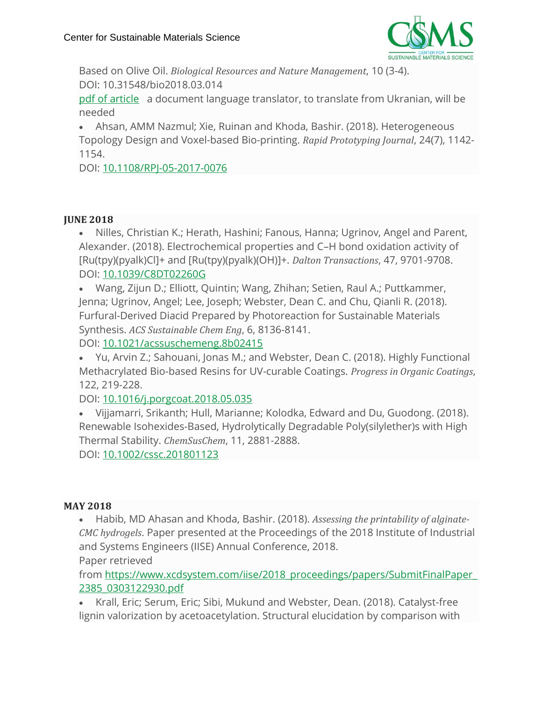

Based on Olive Oil. *Biological Resources and Nature Management*, 10 (3-4). DOI: 10.31548/bio2018.03.014

pdf of [article](https://csms-ndsu.org/wp-content/uploads/2019/04/Voronov_FeaturesOfSynth.pdf) a document language translator, to translate from Ukranian, will be needed

• Ahsan, AMM Nazmul; Xie, Ruinan and Khoda, Bashir. (2018). Heterogeneous Topology Design and Voxel-based Bio-printing. *Rapid Prototyping Journal*, 24(7), 1142- 1154.

DOI: [10.1108/RPJ-05-2017-0076](https://www.emeraldinsight.com/doi/abs/10.1108/RPJ-05-2017-0076)

#### **JUNE 2018**

• Nilles, Christian K.; Herath, Hashini; Fanous, Hanna; Ugrinov, Angel and Parent, Alexander. (2018). Electrochemical properties and C–H bond oxidation activity of [Ru(tpy)(pyalk)Cl]+ and [Ru(tpy)(pyalk)(OH)]+. *Dalton Transactions*, 47, 9701-9708. DOI: [10.1039/C8DT02260G](https://pubs.rsc.org/en/content/articlelanding/2018/DT/C8DT02260G#!divAbstract)

• Wang, Zijun D.; Elliott, Quintin; Wang, Zhihan; Setien, Raul A.; Puttkammer, Jenna; Ugrinov, Angel; Lee, Joseph; Webster, Dean C. and Chu, Qianli R. (2018). Furfural-Derived Diacid Prepared by Photoreaction for Sustainable Materials Synthesis. *ACS Sustainable Chem Eng*, 6, 8136-8141.

DOI: [10.1021/acssuschemeng.8b02415](https://pubs.acs.org/doi/10.1021/acssuschemeng.8b02415)

• Yu, Arvin Z.; Sahouani, Jonas M.; and Webster, Dean C. (2018). Highly Functional Methacrylated Bio-based Resins for UV-curable Coatings. *Progress in Organic Coatings*, 122, 219-228.

DOI: [10.1016/j.porgcoat.2018.05.035](https://www.sciencedirect.com/science/article/pii/S0300944018302297?via%3Dihub)

• Vijjamarri, Srikanth; Hull, Marianne; Kolodka, Edward and Du, Guodong. (2018). Renewable Isohexides-Based, Hydrolytically Degradable Poly(silylether)s with High Thermal Stability. *ChemSusChem*, 11, 2881-2888.

DOI: [10.1002/cssc.201801123](https://onlinelibrary.wiley.com/doi/abs/10.1002/cssc.201801123)

# **MAY 2018**

• Habib, MD Ahasan and Khoda, Bashir. (2018). *Assessing the printability of alginate-CMC hydrogels*. Paper presented at the Proceedings of the 2018 Institute of Industrial and Systems Engineers (IISE) Annual Conference, 2018.

Paper retrieved

from [https://www.xcdsystem.com/iise/2018\\_proceedings/papers/SubmitFinalPaper\\_](https://www.xcdsystem.com/iise/2018_proceedings/papers/SubmitFinalPaper_2385_0303122930.pdf) [2385\\_0303122930.pdf](https://www.xcdsystem.com/iise/2018_proceedings/papers/SubmitFinalPaper_2385_0303122930.pdf)

• Krall, Eric; Serum, Eric; Sibi, Mukund and Webster, Dean. (2018). Catalyst-free lignin valorization by acetoacetylation. Structural elucidation by comparison with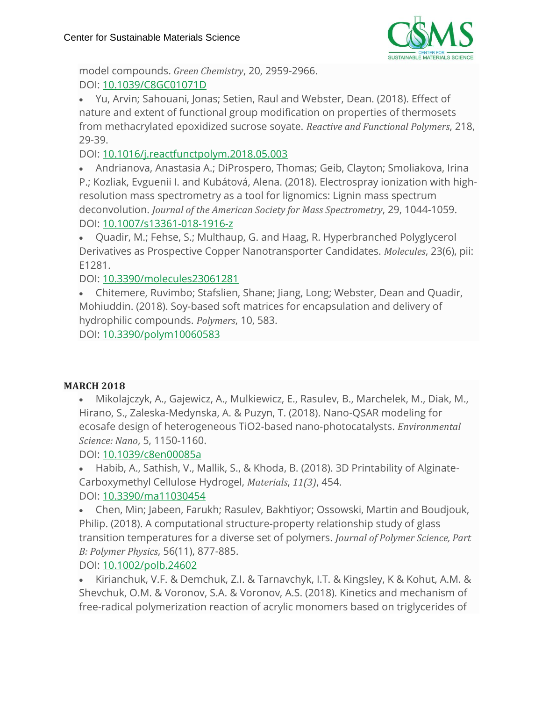

model compounds. *Green Chemistry*, 20, 2959-2966. DOI: [10.1039/C8GC01071D](https://pubs.rsc.org/en/content/articlelanding/2018/GC/C8GC01071D#!divAbstract)

• Yu, Arvin; Sahouani, Jonas; Setien, Raul and Webster, Dean. (2018). Effect of nature and extent of functional group modification on properties of thermosets from methacrylated epoxidized sucrose soyate. *Reactive and Functional Polymers*, 218, 29-39.

DOI: [10.1016/j.reactfunctpolym.2018.05.003](https://www.sciencedirect.com/science/article/abs/pii/S1381514818301949?via%3Dihub)

• Andrianova, Anastasia A.; DiProspero, Thomas; Geib, Clayton; Smoliakova, Irina P.; Kozliak, Evguenii I. and Kubátová, Alena. (2018). Electrospray ionization with highresolution mass spectrometry as a tool for lignomics: Lignin mass spectrum deconvolution. *Journal of the American Society for Mass Spectrometry*, 29, 1044-1059. DOI: [10.1007/s13361-018-1916-z](https://link.springer.com/article/10.1007%2Fs13361-018-1916-z)

• Quadir, M.; Fehse, S.; Multhaup, G. and Haag, R. Hyperbranched Polyglycerol Derivatives as Prospective Copper Nanotransporter Candidates. *Molecules*, 23(6), pii: E1281.

DOI: [10.3390/molecules23061281](https://www.ncbi.nlm.nih.gov/pubmed/29861466)

• Chitemere, Ruvimbo; Stafslien, Shane; Jiang, Long; Webster, Dean and Quadir, Mohiuddin. (2018). Soy-based soft matrices for encapsulation and delivery of hydrophilic compounds. *Polymers*, 10, 583.

DOI: [10.3390/polym10060583](https://www.mdpi.com/2073-4360/10/6/583)

# **MARCH 2018**

• Mikolajczyk, A., Gajewicz, A., Mulkiewicz, E., Rasulev, B., Marchelek, M., Diak, M., Hirano, S., Zaleska-Medynska, A. & Puzyn, T. (2018). Nano-QSAR modeling for ecosafe design of heterogeneous TiO2-based nano-photocatalysts. *Environmental Science: Nano*, 5, 1150-1160.

DOI: [10.1039/c8en00085a](https://pubs.rsc.org/en/content/articlelanding/2018/EN/C8EN00085A#!divAbstract)

• Habib, A., Sathish, V., Mallik, S., & Khoda, B. (2018). 3D Printability of Alginate-Carboxymethyl Cellulose Hydrogel, *Materials*, *11(3)*, 454.

# DOI: [10.3390/ma11030454](http://www.mdpi.com/1996-1944/11/3/454)

• Chen, Min; Jabeen, Farukh; Rasulev, Bakhtiyor; Ossowski, Martin and Boudjouk, Philip. (2018). A computational structure-property relationship study of glass transition temperatures for a diverse set of polymers. *Journal of Polymer Science, Part B: Polymer Physics*, 56(11), 877-885.

DOI: [10.1002/polb.24602](https://onlinelibrary.wiley.com/doi/pdf/10.1002/polb.24602)

• Kirianchuk, V.F. & Demchuk, Z.I. & Tarnavchyk, I.T. & Kingsley, K & Kohut, A.M. & Shevchuk, O.M. & Voronov, S.A. & Voronov, A.S. (2018). Kinetics and mechanism of free-radical polymerization reaction of acrylic monomers based on triglycerides of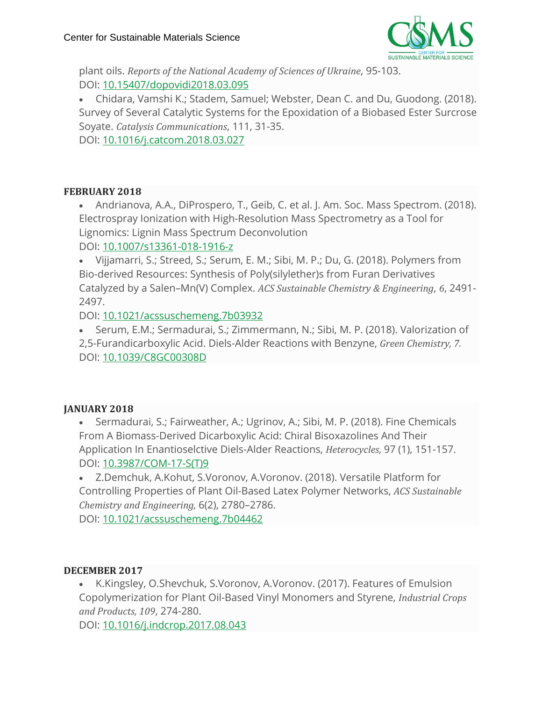

plant oils. *Reports of the National Academy of Sciences of Ukraine*, 95-103. DOI: [10.15407/dopovidi2018.03.095](http://dopovidi-nanu.org.ua/en/archive/2018/3/11)

• Chidara, Vamshi K.; Stadem, Samuel; Webster, Dean C. and Du, Guodong. (2018). Survey of Several Catalytic Systems for the Epoxidation of a Biobased Ester Surcrose Soyate. *Catalysis Communications*, 111, 31-35.

DOI: [10.1016/j.catcom.2018.03.027](https://www.sciencedirect.com/science/article/pii/S1566736718301195?via%3Dihub#ab0010)

#### **FEBRUARY 2018**

• Andrianova, A.A., DiProspero, T., Geib, C. et al. J. Am. Soc. Mass Spectrom. (2018). Electrospray Ionization with High-Resolution Mass Spectrometry as a Tool for Lignomics: Lignin Mass Spectrum Deconvolution

DOI: [10.1007/s13361-018-1916-z](https://link.springer.com/article/10.1007%2Fs13361-018-1916-z)

• Vijjamarri, S.; Streed, S.; Serum, E. M.; Sibi, M. P.; Du, G. (2018). Polymers from Bio-derived Resources: Synthesis of Poly(silylether)s from Furan Derivatives Catalyzed by a Salen–Mn(V) Complex. *ACS Sustainable Chemistry & Engineering*, *6*, 2491- 2497.

DOI: [10.1021/acssuschemeng.7b03932](https://pubs.acs.org/doi/10.1021/acssuschemeng.7b03932)

• Serum, E.M.; Sermadurai, S.; Zimmermann, N.; Sibi, M. P. (2018). Valorization of 2,5-Furandicarboxylic Acid. Diels-Alder Reactions with Benzyne, *Green Chemistry, 7.* DOI: [10.1039/C8GC00308D](http://pubs.rsc.org/en/Content/ArticleLanding/2018/GC/C8GC00308D#!divAbstract)

# **JANUARY 2018**

• Sermadurai, S.; Fairweather, A.; Ugrinov, A.; Sibi, M. P. (2018). Fine Chemicals From A Biomass-Derived Dicarboxylic Acid: Chiral Bisoxazolines And Their Application In Enantioselctive Diels-Alder Reactions, *Heterocycles,* 97 (1), 151-157. DOI: [10.3987/COM-17-S\(T\)9](https://www.heterocycles.jp/newlibrary/libraries/abst/25526)

• Z.Demchuk, A.Kohut, S.Voronov, A.Voronov. (2018). Versatile Platform for Controlling Properties of Plant Oil-Based Latex Polymer Networks, *ACS Sustainable Chemistry and Engineering,* 6(2), 2780–2786.

DOI: [10.1021/acssuschemeng.7b04462](https://pubs.acs.org/doi/abs/10.1021/acssuschemeng.7b04462)

#### **DECEMBER 2017**

• K.Kingsley, O.Shevchuk, S.Voronov, A.Voronov. (2017). Features of Emulsion Copolymerization for Plant Oil-Based Vinyl Monomers and Styrene, *Industrial Crops and Products, 109*, 274-280.

DOI: [10.1016/j.indcrop.2017.08.043](https://www.sciencedirect.com/science/article/pii/S092666901730554X)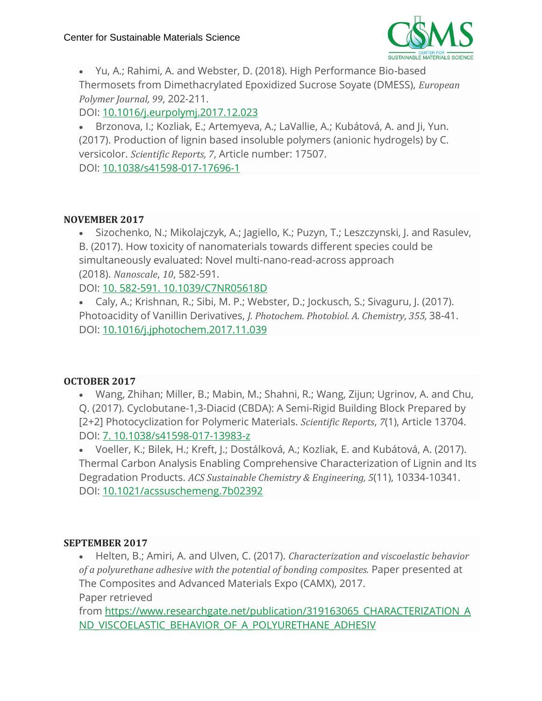

• Yu, A.; Rahimi, A. and Webster, D. (2018). High Performance Bio-based Thermosets from Dimethacrylated Epoxidized Sucrose Soyate (DMESS), *European Polymer Journal, 99*, 202-211.

DOI: [10.1016/j.eurpolymj.2017.12.023](https://www.sciencedirect.com/science/article/pii/S0014305717311734)

• Brzonova, I.; Kozliak, E.; Artemyeva, A.; LaVallie, A.; Kubátová, A. and Ji, Yun. (2017). Production of lignin based insoluble polymers (anionic hydrogels) by C. versicolor. *Scientific Reports, 7*, Article number: 17507. DOI: [10.1038/s41598-017-17696-1](https://www.nature.com/articles/s41598-017-17696-1)

#### **NOVEMBER 2017**

• Sizochenko, N.; Mikolajczyk, A.; Jagiello, K.; Puzyn, T.; Leszczynski, J. and Rasulev, B. (2017). How toxicity of nanomaterials towards different species could be simultaneously evaluated: Novel multi-nano-read-across approach (2018). *Nanoscale*, *10*, 582-591.

DOI: 10. 582-591. [10.1039/C7NR05618D](http://pubs.rsc.org/en/content/articlelanding/2018/nr/c7nr05618d#!divAbstract)

• Caly, A.; Krishnan, R.; Sibi, M. P.; Webster, D.; Jockusch, S.; Sivaguru, J. (2017). Photoacidity of Vanillin Derivatives, *J. Photochem. Photobiol. A. Chemistry, 355,* 38-41. DOI: [10.1016/j.jphotochem.2017.11.039](https://www.sciencedirect.com/science/article/pii/S1010603017314478?via%3Dihub)

#### **OCTOBER 2017**

• Wang, Zhihan; Miller, B.; Mabin, M.; Shahni, R.; Wang, Zijun; Ugrinov, A. and Chu, Q. (2017). Cyclobutane-1,3-Diacid (CBDA): A Semi-Rigid Building Block Prepared by [2+2] Photocyclization for Polymeric Materials. *Scientific Reports*, *7*(1), Article 13704. DOI: 7. [10.1038/s41598-017-13983-z](https://www.researchgate.net/publication/320532772_Cyclobutane-13-Diacid_CBDA_A_Semi-Rigid_Building_Block_Prepared_by_22_Photocyclization_for_Polymeric_Materials)

• Voeller, K.; Bilek, H.; Kreft, J.; Dostálková, A.; Kozliak, E. and Kubátová, A. (2017). Thermal Carbon Analysis Enabling Comprehensive Characterization of Lignin and Its Degradation Products. *ACS Sustainable Chemistry & Engineering, 5*(11), 10334-10341. DOI: [10.1021/acssuschemeng.7b02392](https://pubs.acs.org/doi/10.1021/acssuschemeng.7b02392)

#### **SEPTEMBER 2017**

• Helten, B.; Amiri, A. and Ulven, C. (2017). *Characterization and viscoelastic behavior of a polyurethane adhesive with the potential of bonding composites.* Paper presented at The Composites and Advanced Materials Expo (CAMX), 2017. Paper retrieved

from [https://www.researchgate.net/publication/319163065\\_CHARACTERIZATION\\_A](https://www.researchgate.net/publication/319163065_CHARACTERIZATION_AND_VISCOELASTIC_BEHAVIOR_OF_A_POLYURETHANE_ADHESIVE_WITH_THE_POTENTIAL_OF_BONDING_COMPOSITES) [ND\\_VISCOELASTIC\\_BEHAVIOR\\_OF\\_A\\_POLYURETHANE\\_ADHESIV](https://www.researchgate.net/publication/319163065_CHARACTERIZATION_AND_VISCOELASTIC_BEHAVIOR_OF_A_POLYURETHANE_ADHESIVE_WITH_THE_POTENTIAL_OF_BONDING_COMPOSITES)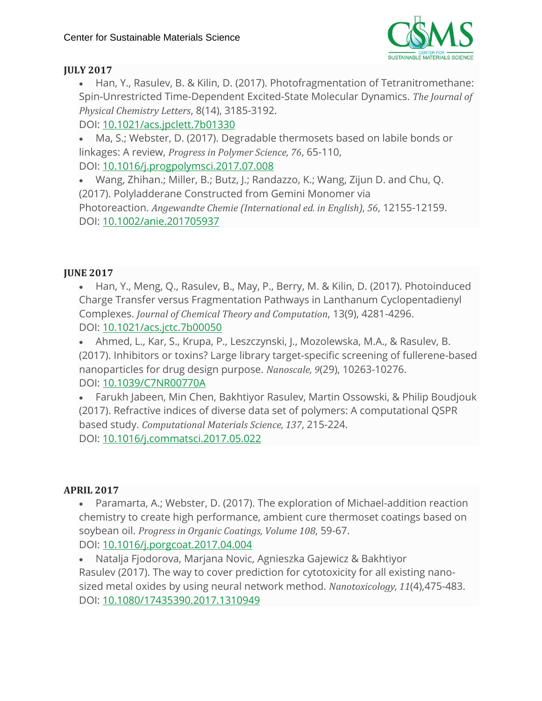

# **JULY 2017**

• Han, Y., Rasulev, B. & Kilin, D. (2017). Photofragmentation of Tetranitromethane: Spin-Unrestricted Time-Dependent Excited-State Molecular Dynamics. *The Journal of Physical Chemistry Letters*, 8(14), 3185-3192.

DOI: [10.1021/acs.jpclett.7b01330](https://pubs.acs.org/doi/10.1021/acs.jpclett.7b01330)

• Ma, S.; Webster, D. (2017). Degradable thermosets based on labile bonds or linkages: A review, *Progress in Polymer Science, 76*, 65-110, DOI: [10.1016/j.progpolymsci.2017.07.008](https://www.sciencedirect.com/science/article/pii/S0079670017300539?via%3Dihub)

• Wang, Zhihan.; Miller, B.; Butz, J.; Randazzo, K.; Wang, Zijun D. and Chu, Q. (2017). Polyladderane Constructed from Gemini Monomer via Photoreaction. *Angewandte Chemie (International ed. in English), 56*, 12155-12159. DOI: [10.1002/anie.201705937](https://onlinelibrary.wiley.com/doi/abs/10.1002/anie.201705937)

# **JUNE 2017**

• Han, Y., Meng, Q., Rasulev, B., May, P., Berry, M. & Kilin, D. (2017). Photoinduced Charge Transfer versus Fragmentation Pathways in Lanthanum Cyclopentadienyl Complexes. *Journal of Chemical Theory and Computation*, 13(9), 4281-4296. DOI: [10.1021/acs.jctc.7b00050](https://pubs.acs.org/doi/10.1021/acs.jctc.7b00050)

• Ahmed, L., Kar, S., Krupa, P., Leszczynski, J., Mozolewska, M.A., & Rasulev, B. (2017). Inhibitors or toxins? Large library target-specific screening of fullerene-based nanoparticles for drug design purpose. *Nanoscale, 9*(29), 10263-10276. DOI: [10.1039/C7NR00770A](http://pubs.rsc.org/en/content/articlelanding/2017/nr/c7nr00770a#!divAbstract)

• Farukh Jabeen, Min Chen, Bakhtiyor Rasulev, Martin Ossowski, & Philip Boudjouk (2017). Refractive indices of diverse data set of polymers: A computational QSPR based study. *Computational Materials Science, 137*, 215-224. DOI: [10.1016/j.commatsci.2017.05.022](https://www.sciencedirect.com/science/article/pii/S0927025617302628?via%3Dihub)

#### **APRIL 2017**

• Paramarta, A.; Webster, D. (2017). The exploration of Michael-addition reaction chemistry to create high performance, ambient cure thermoset coatings based on soybean oil. *Progress in Organic Coatings, Volume 108*, 59-67. DOI: [10.1016/j.porgcoat.2017.04.004](https://www.sciencedirect.com/science/article/pii/S0300944016309079?via%3Dihub)

• Natalja Fjodorova, Marjana Novic, Agnieszka Gajewicz & Bakhtiyor Rasulev (2017). The way to cover prediction for cytotoxicity for all existing nanosized metal oxides by using neural network method. *Nanotoxicology, 11*(4),475-483. DOI: [10.1080/17435390.2017.1310949](https://www.tandfonline.com/doi/full/10.1080/17435390.2017.1310949)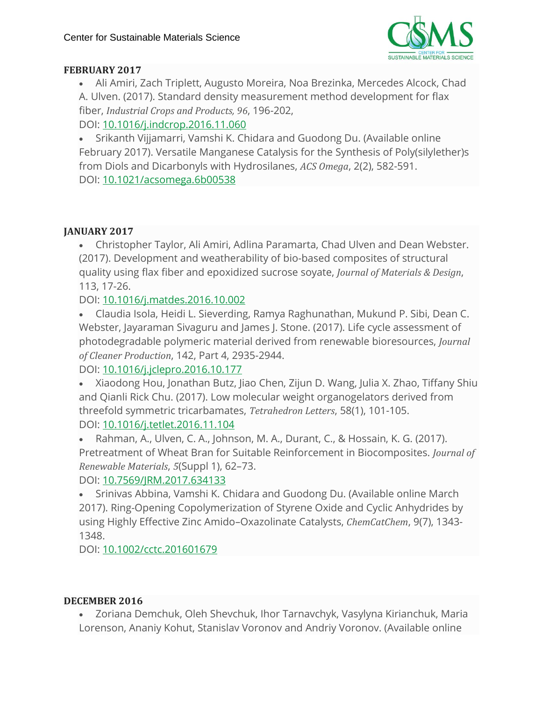

# **FEBRUARY 2017**

• Ali Amiri, Zach Triplett, Augusto Moreira, Noa Brezinka, Mercedes Alcock, Chad A. Ulven. (2017). Standard density measurement method development for flax fiber, *Industrial Crops and Products, 96*, 196-202, DOI: [10.1016/j.indcrop.2016.11.060](https://www.sciencedirect.com/science/article/pii/S092666901630824X?via%3Dihub)

• Srikanth Vijjamarri, Vamshi K. Chidara and Guodong Du. (Available online February 2017). Versatile Manganese Catalysis for the Synthesis of Poly(silylether)s from Diols and Dicarbonyls with Hydrosilanes, *ACS Omega*, 2(2), 582-591. DOI: [10.1021/acsomega.6b00538](https://www.ncbi.nlm.nih.gov/pmc/articles/PMC6640981/)

# **JANUARY 2017**

• Christopher Taylor, Ali Amiri, Adlina Paramarta, Chad Ulven and Dean Webster. (2017). Development and weatherability of bio-based composites of structural quality using flax fiber and epoxidized sucrose soyate, *Journal of Materials & Design*, 113, 17-26.

DOI: [10.1016/j.matdes.2016.10.002](https://www.sciencedirect.com/science/article/abs/pii/S026412751631293X)

• Claudia Isola, Heidi L. Sieverding, Ramya Raghunathan, Mukund P. Sibi, Dean C. Webster, Jayaraman Sivaguru and James J. Stone. (2017). Life cycle assessment of photodegradable polymeric material derived from renewable bioresources, *Journal of Cleaner Production*, 142, Part 4, 2935-2944.

DOI: [10.1016/j.jclepro.2016.10.177](https://www.sciencedirect.com/science/article/pii/S095965261631808X)

• Xiaodong Hou, Jonathan Butz, Jiao Chen, Zijun D. Wang, Julia X. Zhao, Tiffany Shiu and Qianli Rick Chu. (2017). Low molecular weight organogelators derived from threefold symmetric tricarbamates, *Tetrahedron Letters*, 58(1), 101-105. DOI: [10.1016/j.tetlet.2016.11.104](https://www.sciencedirect.com/science/article/pii/S0040403916315969)

• Rahman, A., Ulven, C. A., Johnson, M. A., Durant, C., & Hossain, K. G. (2017). Pretreatment of Wheat Bran for Suitable Reinforcement in Biocomposites. *Journal of Renewable Materials*, *5*(Suppl 1), 62–73.

# DOI: [10.7569/JRM.2017.634133](http://www.ingentaconnect.com/content/scrivener/jrm/2017/00000005/a00101s1/art00007;jsessionid=7458c0ai35b9l.x-ic-live-03)

• Srinivas Abbina, Vamshi K. Chidara and Guodong Du. (Available online March 2017). Ring-Opening Copolymerization of Styrene Oxide and Cyclic Anhydrides by using Highly Effective Zinc Amido–Oxazolinate Catalysts, *ChemCatChem*, 9(7), 1343- 1348.

# DOI: [10.1002/cctc.201601679](https://onlinelibrary.wiley.com/doi/abs/10.1002/cctc.201601679)

#### **DECEMBER 2016**

• Zoriana Demchuk, Oleh Shevchuk, Ihor Tarnavchyk, Vasylyna Kirianchuk, Maria Lorenson, Ananiy Kohut, Stanislav Voronov and Andriy Voronov. (Available online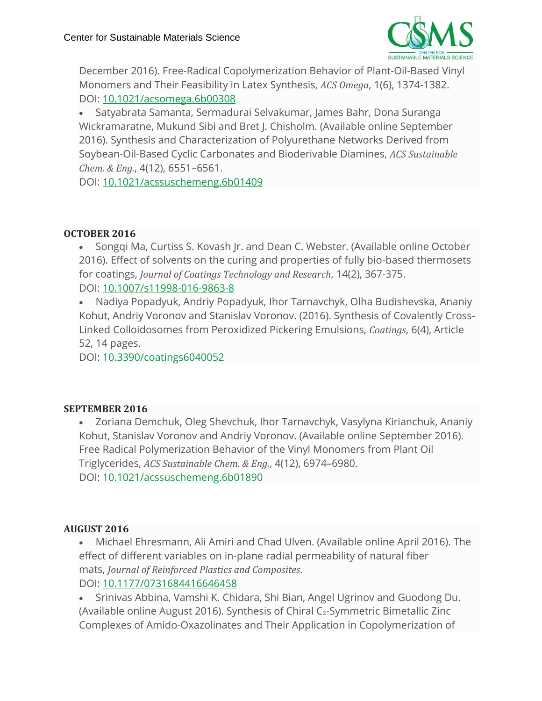

December 2016). Free-Radical Copolymerization Behavior of Plant-Oil-Based Vinyl Monomers and Their Feasibility in Latex Synthesis, *ACS Omega*, 1(6), 1374-1382. DOI: [10.1021/acsomega.6b00308](https://pubs.acs.org/doi/abs/10.1021/acsomega.6b00308)

• Satyabrata Samanta, Sermadurai Selvakumar, James Bahr, Dona Suranga Wickramaratne, Mukund Sibi and Bret J. Chisholm. (Available online September 2016). Synthesis and Characterization of Polyurethane Networks Derived from Soybean-Oil-Based Cyclic Carbonates and Bioderivable Diamines, *ACS Sustainable Chem. & Eng.*, 4(12), 6551–6561.

DOI: [10.1021/acssuschemeng.6b01409](https://pubs.acs.org/doi/abs/10.1021/acssuschemeng.6b01409)

# **OCTOBER 2016**

• Songqi Ma, Curtiss S. Kovash Jr. and Dean C. Webster. (Available online October 2016). Effect of solvents on the curing and properties of fully bio-based thermosets for coatings, *Journal of Coatings Technology and Research*, 14(2), 367-375. DOI: [10.1007/s11998-016-9863-8](https://link.springer.com/article/10.1007/s11998-016-9863-8)

• Nadiya Popadyuk, Andriy Popadyuk, Ihor Tarnavchyk, Olha Budishevska, Ananiy Kohut, Andriy Voronov and Stanislav Voronov. (2016). Synthesis of Covalently Cross-Linked Colloidosomes from Peroxidized Pickering Emulsions, *Coatings*, 6(4), Article 52, 14 pages.

DOI: [10.3390/coatings6040052](https://www.mdpi.com/2079-6412/6/4/52)

# **SEPTEMBER 2016**

• Zoriana Demchuk, Oleg Shevchuk, Ihor Tarnavchyk, Vasylyna Kirianchuk, Ananiy Kohut, Stanislav Voronov and Andriy Voronov. (Available online September 2016). Free Radical Polymerization Behavior of the Vinyl Monomers from Plant Oil Triglycerides, *ACS Sustainable Chem. & Eng.*, 4(12), 6974–6980. DOI: [10.1021/acssuschemeng.6b01890](https://pubs.acs.org/doi/abs/10.1021/acssuschemeng.6b01890)

# **AUGUST 2016**

• Michael Ehresmann, Ali Amiri and Chad Ulven. (Available online April 2016). The effect of different variables on in-plane radial permeability of natural fiber mats, *Journal of Reinforced Plastics and Composites*. DOI: [10.1177/0731684416646458](https://journals.sagepub.com/doi/10.1177/0731684416646458)

• Srinivas Abbina, Vamshi K. Chidara, Shi Bian, Angel Ugrinov and Guodong Du. (Available online August 2016). Synthesis of Chiral C2-Symmetric Bimetallic Zinc Complexes of Amido-Oxazolinates and Their Application in Copolymerization of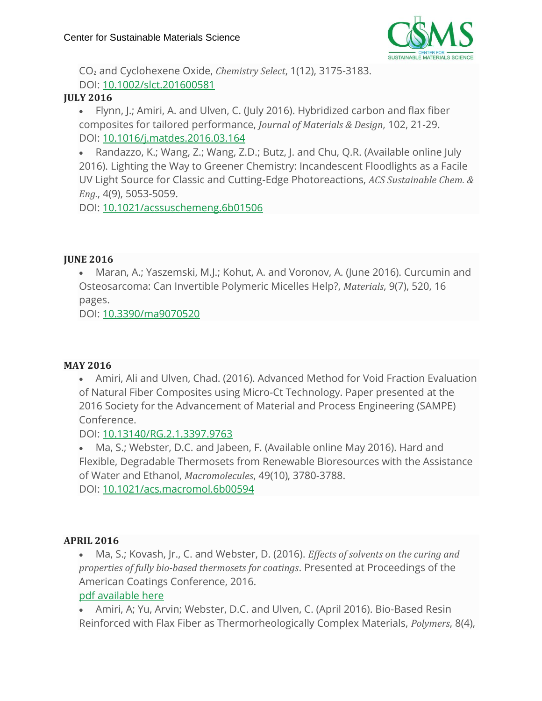

CO<sup>2</sup> and Cyclohexene Oxide, *Chemistry Select*, 1(12), 3175-3183. DOI: [10.1002/slct.201600581](https://onlinelibrary.wiley.com/doi/abs/10.1002/slct.201600581)

# **JULY 2016**

• Flynn, J.; Amiri, A. and Ulven, C. (July 2016). Hybridized carbon and flax fiber composites for tailored performance, *Journal of Materials & Design*, 102, 21-29. DOI: [10.1016/j.matdes.2016.03.164](https://www.sciencedirect.com/science/article/pii/S0264127516304579)

• Randazzo, K.; Wang, Z.; Wang, Z.D.; Butz, J. and Chu, Q.R. (Available online July 2016). Lighting the Way to Greener Chemistry: Incandescent Floodlights as a Facile UV Light Source for Classic and Cutting-Edge Photoreactions, *ACS Sustainable Chem. & Eng.*, 4(9), 5053-5059.

DOI: [10.1021/acssuschemeng.6b01506](https://pubs.acs.org/doi/10.1021/acssuschemeng.6b01506)

# **JUNE 2016**

• Maran, A.; Yaszemski, M.J.; Kohut, A. and Voronov, A. (June 2016). Curcumin and Osteosarcoma: Can Invertible Polymeric Micelles Help?, *Materials*, 9(7), 520, 16 pages.

DOI: [10.3390/ma9070520](http://www.mdpi.com/1996-1944/9/7/520)

# **MAY 2016**

• Amiri, Ali and Ulven, Chad. (2016). Advanced Method for Void Fraction Evaluation of Natural Fiber Composites using Micro-Ct Technology. Paper presented at the 2016 Society for the Advancement of Material and Process Engineering (SAMPE) Conference.

DOI: [10.13140/RG.2.1.3397.9763](https://www.researchgate.net/publication/303248035_Advanced_Method_for_Void_Fraction_Evaluation_of_Natural_Fiber_Composites_using_Micro-Ct_Technology)

• Ma, S.; Webster, D.C. and Jabeen, F. (Available online May 2016). Hard and Flexible, Degradable Thermosets from Renewable Bioresources with the Assistance of Water and Ethanol, *Macromolecules*, 49(10), 3780-3788. DOI: [10.1021/acs.macromol.6b00594](https://pubs.acs.org/doi/10.1021/acs.macromol.6b00594)

#### **APRIL 2016**

• Ma, S.; Kovash, Jr., C. and Webster, D. (2016). *Effects of solvents on the curing and properties of fully bio-based thermosets for coatings*. Presented at Proceedings of the American Coatings Conference, 2016.

# pdf [available](https://csms-ndsu.org/wp-content/uploads/2019/04/WebsterEffectsOfSolvents_ACSconf.pdf) here

• Amiri, A; Yu, Arvin; Webster, D.C. and Ulven, C. (April 2016). Bio-Based Resin Reinforced with Flax Fiber as Thermorheologically Complex Materials, *Polymers*, 8(4),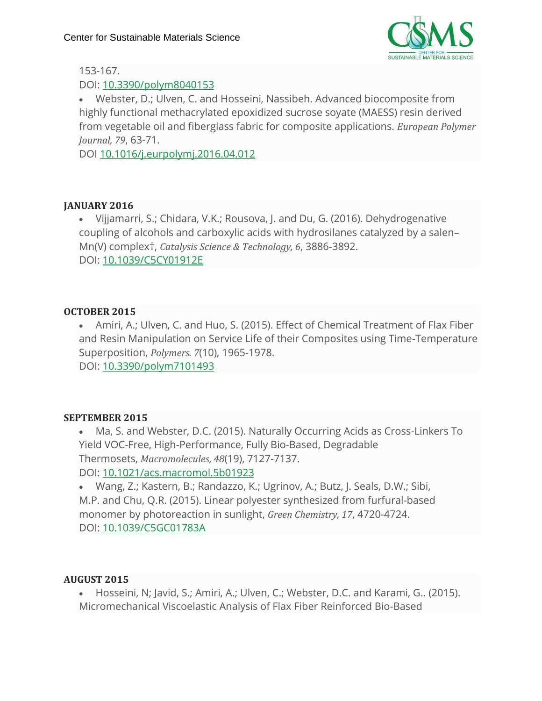

# 153-167.

# DOI: [10.3390/polym8040153](http://www.mdpi.com/2073-4360/8/4/153)

• Webster, D.; Ulven, C. and Hosseini, Nassibeh. Advanced biocomposite from highly functional methacrylated epoxidized sucrose soyate (MAESS) resin derived from vegetable oil and fiberglass fabric for composite applications. *European Polymer Journal, 79*, 63-71.

DOI [10.1016/j.eurpolymj.2016.04.012](http://10.0.3.248/j.eurpolymj.2016.04.012)

# **JANUARY 2016**

• Vijjamarri, S.; Chidara, V.K.; Rousova, J. and Du, G. (2016). Dehydrogenative coupling of alcohols and carboxylic acids with hydrosilanes catalyzed by a salen– Mn(V) complex†, *Catalysis Science & Technology, 6*, 3886-3892. DOI: [10.1039/C5CY01912E](http://dx.doi.org/10.1039/C5CY01912E)

# **OCTOBER 2015**

• Amiri, A.; Ulven, C. and Huo, S. (2015). Effect of Chemical Treatment of Flax Fiber and Resin Manipulation on Service Life of their Composites using Time-Temperature Superposition, *Polymers. 7*(10), 1965-1978.

DOI: [10.3390/polym7101493](http://dx.doi.org/10.3390/polym7101493)

# **SEPTEMBER 2015**

• Ma, S. and Webster, D.C. (2015). Naturally Occurring Acids as Cross-Linkers To Yield VOC-Free, High-Performance, Fully Bio-Based, Degradable Thermosets, *Macromolecules, 48*(19), 7127-7137. DOI: [10.1021/acs.macromol.5b01923](http://dx.doi.org/10.1021/acs.macromol.5b01923)

• Wang, Z.; Kastern, B.; Randazzo, K.; Ugrinov, A.; Butz, J. Seals, D.W.; Sibi, M.P. and Chu, Q.R. (2015). Linear polyester synthesized from furfural-based monomer by photoreaction in sunlight, *Green Chemistry, 17*, 4720-4724. DOI: [10.1039/C5GC01783A](http://dx.doi.org/10.1039/C5GC01783A)

# **AUGUST 2015**

• Hosseini, N; Javid, S.; Amiri, A.; Ulven, C.; Webster, D.C. and Karami, G.. (2015). Micromechanical Viscoelastic Analysis of Flax Fiber Reinforced Bio-Based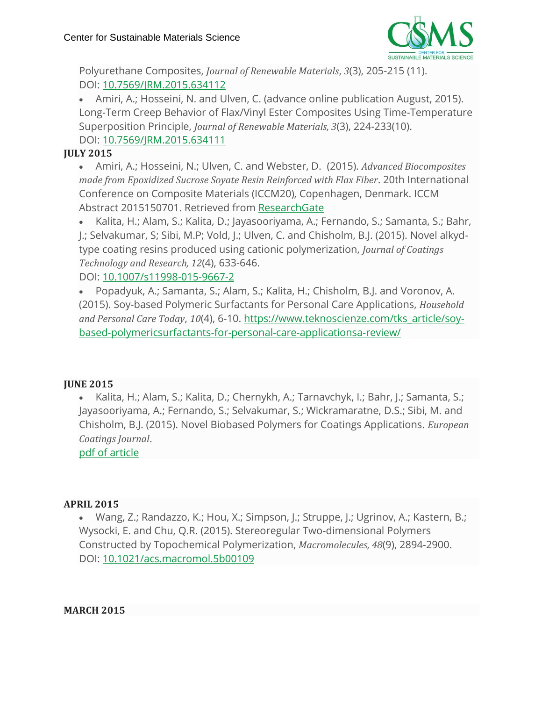

Polyurethane Composites, *Journal of Renewable Materials*, *3*(3), 205-215 (11). DOI: [10.7569/JRM.2015.634112](http://dx.doi.org/10.7569/JRM.2015.634112)

• Amiri, A.; Hosseini, N. and Ulven, C. (advance online publication August, 2015). Long-Term Creep Behavior of Flax/Vinyl Ester Composites Using Time-Temperature Superposition Principle, *Journal of Renewable Materials, 3*(3), 224-233(10). DOI: [10.7569/JRM.2015.634111](http://dx.doi.org/10.7569/JRM.2015.634111)

# **JULY 2015**

• Amiri, A.; Hosseini, N.; Ulven, C. and Webster, D. (2015). *Advanced Biocomposites made from Epoxidized Sucrose Soyate Resin Reinforced with Flax Fiber*. 20th International Conference on Composite Materials (ICCM20), Copenhagen, Denmark. ICCM Abstract 2015150701. Retrieved from [ResearchGate](https://www.researchgate.net/publication/280733240_Advanced_Biocomposites_Made_from_Methacrylated_Epoxidized_Sucrose_Soyate_Resin_Reinforced_with_Flax_Fibers)

• Kalita, H.; Alam, S.; Kalita, D.; Jayasooriyama, A.; Fernando, S.; Samanta, S.; Bahr, J.; Selvakumar, S; Sibi, M.P; Vold, J.; Ulven, C. and Chisholm, B.J. (2015). Novel alkydtype coating resins produced using cationic polymerization, *Journal of Coatings Technology and Research, 12*(4), 633-646.

DOI: [10.1007/s11998-015-9667-2](https://link.springer.com/article/10.1007%2Fs11998-015-9667-2)

• Popadyuk, A.; Samanta, S.; Alam, S.; Kalita, H.; Chisholm, B.J. and Voronov, A. (2015). Soy-based Polymeric Surfactants for Personal Care Applications, *Household and Personal Care Today*, *10*(4), 6-10. [https://www.teknoscienze.com/tks\\_article/soy](https://www.teknoscienze.com/tks_article/soy-based-polymericsurfactants-for-personal-care-applicationsa-review/)[based-polymericsurfactants-for-personal-care-applicationsa-review/](https://www.teknoscienze.com/tks_article/soy-based-polymericsurfactants-for-personal-care-applicationsa-review/)

# **JUNE 2015**

• Kalita, H.; Alam, S.; Kalita, D.; Chernykh, A.; Tarnavchyk, I.; Bahr, J.; Samanta, S.; Jayasooriyama, A.; Fernando, S.; Selvakumar, S.; Wickramaratne, D.S.; Sibi, M. and Chisholm, B.J. (2015). Novel Biobased Polymers for Coatings Applications. *European Coatings Journal*.

pdf of [article](https://csms-ndsu.org/wp-content/uploads/2019/05/ChisholmEuropeanCoatingsEjournal.pdf)

# **APRIL 2015**

• Wang, Z.; Randazzo, K.; Hou, X.; Simpson, J.; Struppe, J.; Ugrinov, A.; Kastern, B.; Wysocki, E. and Chu, Q.R. (2015). Stereoregular Two-dimensional Polymers Constructed by Topochemical Polymerization, *Macromolecules, 48*(9), 2894-2900. DOI: [10.1021/acs.macromol.5b00109](http://dx.doi.org/10.1021/acs.macromol.5b00109)

**MARCH 2015**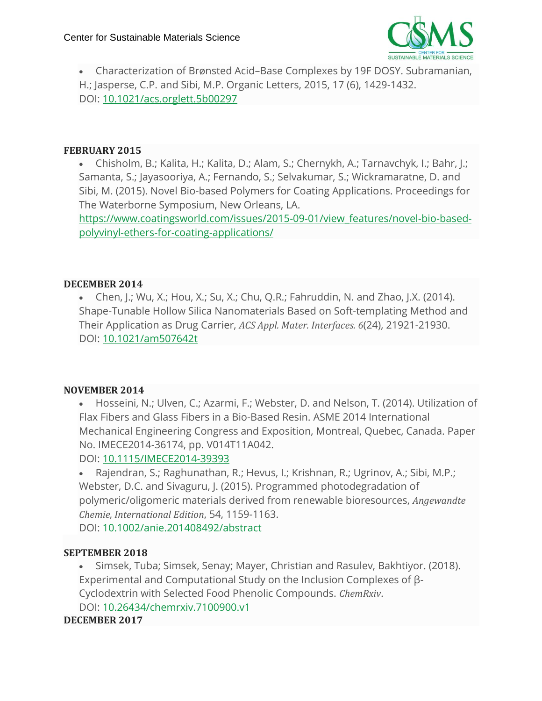

• Characterization of Brønsted Acid–Base Complexes by 19F DOSY. Subramanian, H.; Jasperse, C.P. and Sibi, M.P. Organic Letters, 2015, 17 (6), 1429-1432. DOI: [10.1021/acs.orglett.5b00297](http://dx.doi.org/10.1021/acs.orglett.5b00297)

#### **FEBRUARY 2015**

• Chisholm, B.; Kalita, H.; Kalita, D.; Alam, S.; Chernykh, A.; Tarnavchyk, I.; Bahr, J.; Samanta, S.; Jayasooriya, A.; Fernando, S.; Selvakumar, S.; Wickramaratne, D. and Sibi, M. (2015). Novel Bio-based Polymers for Coating Applications. Proceedings for The Waterborne Symposium, New Orleans, LA.

[https://www.coatingsworld.com/issues/2015-09-01/view\\_features/novel-bio-based](https://www.coatingsworld.com/issues/2015-09-01/view_features/novel-bio-based-polyvinyl-ethers-for-coating-applications/)[polyvinyl-ethers-for-coating-applications/](https://www.coatingsworld.com/issues/2015-09-01/view_features/novel-bio-based-polyvinyl-ethers-for-coating-applications/)

#### **DECEMBER 2014**

• Chen, J.; Wu, X.; Hou, X.; Su, X.; Chu, Q.R.; Fahruddin, N. and Zhao, J.X. (2014). Shape-Tunable Hollow Silica Nanomaterials Based on Soft-templating Method and Their Application as Drug Carrier, *ACS Appl. Mater. Interfaces. 6*(24), 21921-21930. DOI: [10.1021/am507642t](http://dx.doi.org/10.1021/am507642t)

#### **NOVEMBER 2014**

• Hosseini, N.; Ulven, C.; Azarmi, F.; Webster, D. and Nelson, T. (2014). Utilization of Flax Fibers and Glass Fibers in a Bio-Based Resin. ASME 2014 International Mechanical Engineering Congress and Exposition, Montreal, Quebec, Canada. Paper No. IMECE2014-36174, pp. V014T11A042.

DOI: [10.1115/IMECE2014-39393](http://proceedings.asmedigitalcollection.asme.org/proceeding.aspx?articleid=2205847)

• Rajendran, S.; Raghunathan, R.; Hevus, I.; Krishnan, R.; Ugrinov, A.; Sibi, M.P.; Webster, D.C. and Sivaguru, J. (2015). Programmed photodegradation of polymeric/oligomeric materials derived from renewable bioresources, *Angewandte Chemie, International Edition*, 54, 1159-1163. DOI: [10.1002/anie.201408492/abstract](http://onlinelibrary.wiley.com/doi/10.1002/anie.201408492/abstract)

#### **SEPTEMBER 2018**

• Simsek, Tuba; Simsek, Senay; Mayer, Christian and Rasulev, Bakhtiyor. (2018). Experimental and Computational Study on the Inclusion Complexes of β-Cyclodextrin with Selected Food Phenolic Compounds. *ChemRxiv*. DOI: [10.26434/chemrxiv.7100900.v1](https://chemrxiv.org/articles/Experimental_and_Computational_Study_on_the_Inclusion_Complexes_of_-Cyclodextrin_with_Selected_Food_Phenolic_Compounds/7100900/1)

#### **DECEMBER 2017**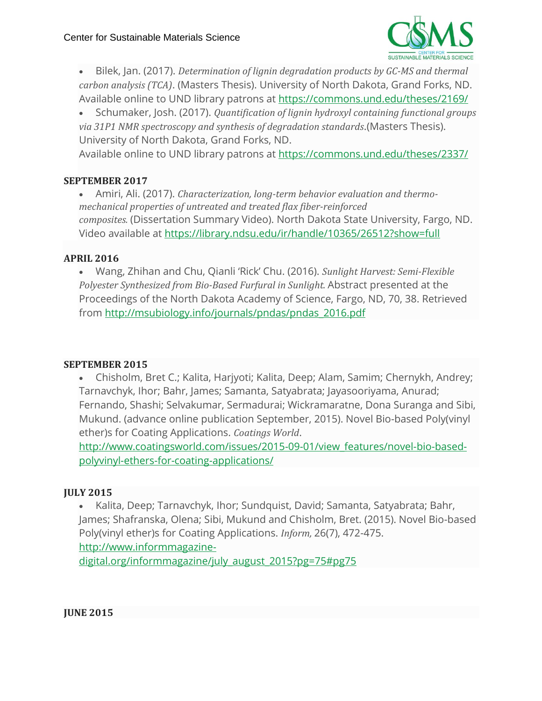

• Bilek, Jan. (2017). *Determination of lignin degradation products by GC-MS and thermal carbon analysis (TCA)*. (Masters Thesis). University of North Dakota, Grand Forks, ND. Available online to UND library patrons at <https://commons.und.edu/theses/2169/>

• Schumaker, Josh. (2017). *Quantification of lignin hydroxyl containing functional groups via 31P1 NMR spectroscopy and synthesis of degradation standards*.(Masters Thesis). University of North Dakota, Grand Forks, ND.

Available online to UND library patrons at <https://commons.und.edu/theses/2337/>

#### **SEPTEMBER 2017**

• Amiri, Ali. (2017). *Characterization, long-term behavior evaluation and thermomechanical properties of untreated and treated flax fiber-reinforced composites.* (Dissertation Summary Video). North Dakota State University, Fargo, ND. Video available at <https://library.ndsu.edu/ir/handle/10365/26512?show=full>

# **APRIL 2016**

• Wang, Zhihan and Chu, Qianli 'Rick' Chu. (2016). *Sunlight Harvest: Semi-Flexible Polyester Synthesized from Bio-Based Furfural in Sunlight.* Abstract presented at the Proceedings of the North Dakota Academy of Science, Fargo, ND, 70, 38. Retrieved from [http://msubiology.info/journals/pndas/pndas\\_2016.pdf](http://msubiology.info/journals/pndas/pndas_2016.pdf)

# **SEPTEMBER 2015**

• Chisholm, Bret C.; Kalita, Harjyoti; Kalita, Deep; Alam, Samim; Chernykh, Andrey; Tarnavchyk, Ihor; Bahr, James; Samanta, Satyabrata; Jayasooriyama, Anurad; Fernando, Shashi; Selvakumar, Sermadurai; Wickramaratne, Dona Suranga and Sibi, Mukund. (advance online publication September, 2015). Novel Bio-based Poly(vinyl ether)s for Coating Applications. *Coatings World*.

[http://www.coatingsworld.com/issues/2015-09-01/view\\_features/novel-bio-based](http://www.coatingsworld.com/issues/2015-09-01/view_features/novel-bio-based-polyvinyl-ethers-for-coating-applications/)[polyvinyl-ethers-for-coating-applications/](http://www.coatingsworld.com/issues/2015-09-01/view_features/novel-bio-based-polyvinyl-ethers-for-coating-applications/)

# **JULY 2015**

• Kalita, Deep; Tarnavchyk, Ihor; Sundquist, David; Samanta, Satyabrata; Bahr, James; Shafranska, Olena; Sibi, Mukund and Chisholm, Bret. (2015). Novel Bio-based Poly(vinyl ether)s for Coating Applications. *Inform,* 26(7), 472-475. [http://www.informmagazine-](http://www.informmagazine-digital.org/informmagazine/july_august_2015?pg=75#pg75)

[digital.org/informmagazine/july\\_august\\_2015?pg=75#pg75](http://www.informmagazine-digital.org/informmagazine/july_august_2015?pg=75#pg75)

**JUNE 2015**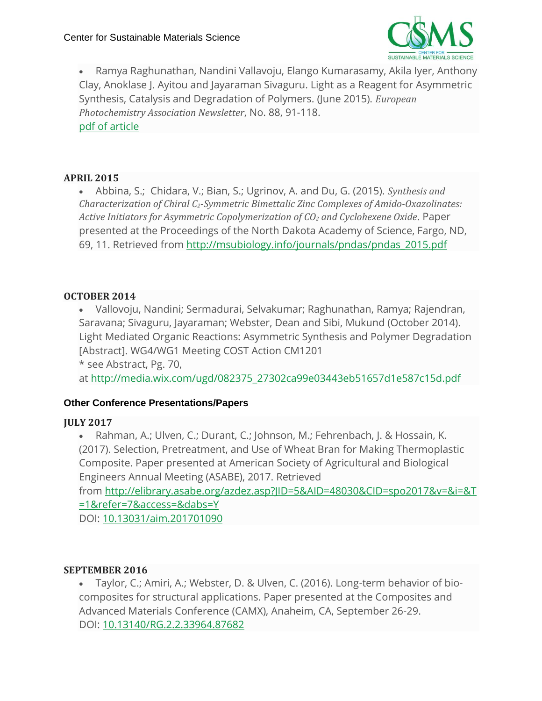

• Ramya Raghunathan, Nandini Vallavoju, Elango Kumarasamy, Akila Iyer, Anthony Clay, Anoklase J. Ayitou and Jayaraman Sivaguru. Light as a Reagent for Asymmetric Synthesis, Catalysis and Degradation of Polymers. (June 2015). *European Photochemistry Association Newsletter*, No. 88, 91-118. pdf of [article](https://csms-ndsu.org/wp-content/uploads/2020/03/Siva_EPANewsletter.pdf)

#### **APRIL 2015**

• Abbina, S.; Chidara, V.; Bian, S.; Ugrinov, A. and Du, G. (2015). *Synthesis and Characterization of Chiral C2-Symmetric Bimettalic Zinc Complexes of Amido-Oxazolinates: Active Initiators for Asymmetric Copolymerization of CO<sup>2</sup> and Cyclohexene Oxide*. Paper presented at the Proceedings of the North Dakota Academy of Science, Fargo, ND, 69, 11. Retrieved from [http://msubiology.info/journals/pndas/pndas\\_2015.pdf](http://msubiology.info/journals/pndas/pndas_2015.pdf)

#### **OCTOBER 2014**

• Vallovoju, Nandini; Sermadurai, Selvakumar; Raghunathan, Ramya; Rajendran, Saravana; Sivaguru, Jayaraman; Webster, Dean and Sibi, Mukund (October 2014). Light Mediated Organic Reactions: Asymmetric Synthesis and Polymer Degradation [Abstract]. WG4/WG1 Meeting COST Action CM1201

\* see Abstract, Pg. 70,

at [http://media.wix.com/ugd/082375\\_27302ca99e03443eb51657d1e587c15d.pdf](http://media.wix.com/ugd/082375_27302ca99e03443eb51657d1e587c15d.pdf)

#### **Other Conference Presentations/Papers**

#### **JULY 2017**

• Rahman, A.; Ulven, C.; Durant, C.; Johnson, M.; Fehrenbach, J. & Hossain, K. (2017). Selection, Pretreatment, and Use of Wheat Bran for Making Thermoplastic Composite. Paper presented at American Society of Agricultural and Biological Engineers Annual Meeting (ASABE), 2017. Retrieved

from [http://elibrary.asabe.org/azdez.asp?JID=5&AID=48030&CID=spo2017&v=&i=&T](http://elibrary.asabe.org/azdez.asp?JID=5&AID=48030&CID=spo2017&v=&i=&T=1&refer=7&access=&dabs=Y) [=1&refer=7&access=&dabs=Y](http://elibrary.asabe.org/azdez.asp?JID=5&AID=48030&CID=spo2017&v=&i=&T=1&refer=7&access=&dabs=Y)

DOI: [10.13031/aim.201701090](http://elibrary.asabe.org/azdez.asp?JID=5&AID=48030&CID=spo2017&v=&i=&T=1&refer=7&access=&dabs=Y)

#### **SEPTEMBER 2016**

• Taylor, C.; Amiri, A.; Webster, D. & Ulven, C. (2016). Long-term behavior of biocomposites for structural applications. Paper presented at the Composites and Advanced Materials Conference (CAMX), Anaheim, CA, September 26-29. DOI: [10.13140/RG.2.2.33964.87682](https://www.researchgate.net/publication/308085703_Long-term_behavior_of_bio-composites_for_structural_applications?channel=doi&linkId=57d9764508ae6399a39ad51e&showFulltext=true)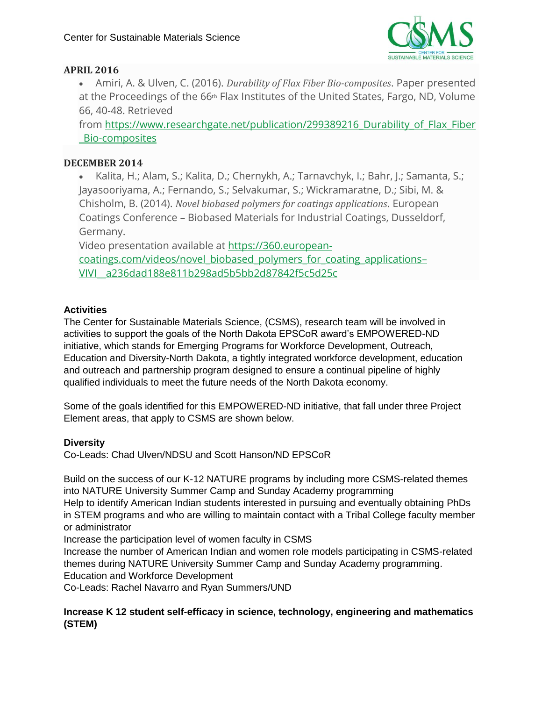

#### **APRIL 2016**

• Amiri, A. & Ulven, C. (2016). *Durability of Flax Fiber Bio-composites*. Paper presented at the Proceedings of the 66<sup>th</sup> Flax Institutes of the United States, Fargo, ND, Volume 66, 40-48. Retrieved

from https://www.researchgate.net/publication/299389216 Durability of Flax Fiber [\\_Bio-composites](https://www.researchgate.net/publication/299389216_Durability_of_Flax_Fiber_Bio-composites)

#### **DECEMBER 2014**

• Kalita, H.; Alam, S.; Kalita, D.; Chernykh, A.; Tarnavchyk, I.; Bahr, J.; Samanta, S.; Jayasooriyama, A.; Fernando, S.; Selvakumar, S.; Wickramaratne, D.; Sibi, M. & Chisholm, B. (2014). *Novel biobased polymers for coatings applications*. European Coatings Conference – Biobased Materials for Industrial Coatings, Dusseldorf, Germany.

Video presentation available at [https://360.european-](https://360.european-coatings.com/videos/novel_biobased_polymers_for_coating_applications--VIVI__a236dad188e811b298ad5b5bb2d87842f5c5d25c)

[coatings.com/videos/novel\\_biobased\\_polymers\\_for\\_coating\\_applications](https://360.european-coatings.com/videos/novel_biobased_polymers_for_coating_applications--VIVI__a236dad188e811b298ad5b5bb2d87842f5c5d25c)– [VIVI\\_\\_a236dad188e811b298ad5b5bb2d87842f5c5d25c](https://360.european-coatings.com/videos/novel_biobased_polymers_for_coating_applications--VIVI__a236dad188e811b298ad5b5bb2d87842f5c5d25c)

#### **Activities**

The Center for Sustainable Materials Science, (CSMS), research team will be involved in activities to support the goals of the North Dakota EPSCoR award's EMPOWERED-ND initiative, which stands for Emerging Programs for Workforce Development, Outreach, Education and Diversity-North Dakota, a tightly integrated workforce development, education and outreach and partnership program designed to ensure a continual pipeline of highly qualified individuals to meet the future needs of the North Dakota economy.

Some of the goals identified for this EMPOWERED-ND initiative, that fall under three Project Element areas, that apply to CSMS are shown below.

#### **Diversity**

Co-Leads: Chad Ulven/NDSU and Scott Hanson/ND EPSCoR

Build on the success of our K-12 NATURE programs by including more CSMS-related themes into NATURE University Summer Camp and Sunday Academy programming

Help to identify American Indian students interested in pursuing and eventually obtaining PhDs in STEM programs and who are willing to maintain contact with a Tribal College faculty member or administrator

Increase the participation level of women faculty in CSMS

Increase the number of American Indian and women role models participating in CSMS-related themes during NATURE University Summer Camp and Sunday Academy programming.

Education and Workforce Development

Co-Leads: Rachel Navarro and Ryan Summers/UND

#### **Increase K 12 student self-efficacy in science, technology, engineering and mathematics (STEM)**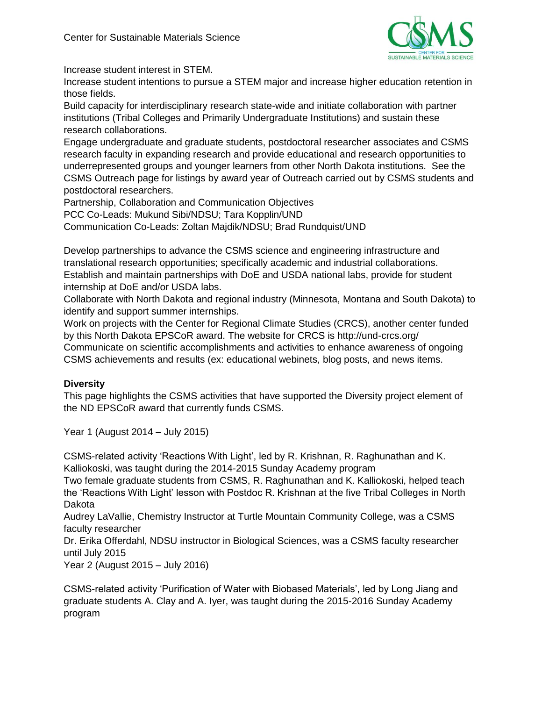

Increase student interest in STEM.

Increase student intentions to pursue a STEM major and increase higher education retention in those fields.

Build capacity for interdisciplinary research state-wide and initiate collaboration with partner institutions (Tribal Colleges and Primarily Undergraduate Institutions) and sustain these research collaborations.

Engage undergraduate and graduate students, postdoctoral researcher associates and CSMS research faculty in expanding research and provide educational and research opportunities to underrepresented groups and younger learners from other North Dakota institutions. See the CSMS Outreach page for listings by award year of Outreach carried out by CSMS students and postdoctoral researchers.

Partnership, Collaboration and Communication Objectives PCC Co-Leads: Mukund Sibi/NDSU; Tara Kopplin/UND Communication Co-Leads: Zoltan Majdik/NDSU; Brad Rundquist/UND

Develop partnerships to advance the CSMS science and engineering infrastructure and translational research opportunities; specifically academic and industrial collaborations. Establish and maintain partnerships with DoE and USDA national labs, provide for student internship at DoE and/or USDA labs.

Collaborate with North Dakota and regional industry (Minnesota, Montana and South Dakota) to identify and support summer internships.

Work on projects with the Center for Regional Climate Studies (CRCS), another center funded by this North Dakota EPSCoR award. The website for CRCS is http://und-crcs.org/ Communicate on scientific accomplishments and activities to enhance awareness of ongoing CSMS achievements and results (ex: educational webinets, blog posts, and news items.

#### **Diversity**

This page highlights the CSMS activities that have supported the Diversity project element of the ND EPSCoR award that currently funds CSMS.

Year 1 (August 2014 – July 2015)

CSMS-related activity 'Reactions With Light', led by R. Krishnan, R. Raghunathan and K. Kalliokoski, was taught during the 2014-2015 Sunday Academy program

Two female graduate students from CSMS, R. Raghunathan and K. Kalliokoski, helped teach the 'Reactions With Light' lesson with Postdoc R. Krishnan at the five Tribal Colleges in North Dakota

Audrey LaVallie, Chemistry Instructor at Turtle Mountain Community College, was a CSMS faculty researcher

Dr. Erika Offerdahl, NDSU instructor in Biological Sciences, was a CSMS faculty researcher until July 2015

Year 2 (August 2015 – July 2016)

CSMS-related activity 'Purification of Water with Biobased Materials', led by Long Jiang and graduate students A. Clay and A. Iyer, was taught during the 2015-2016 Sunday Academy program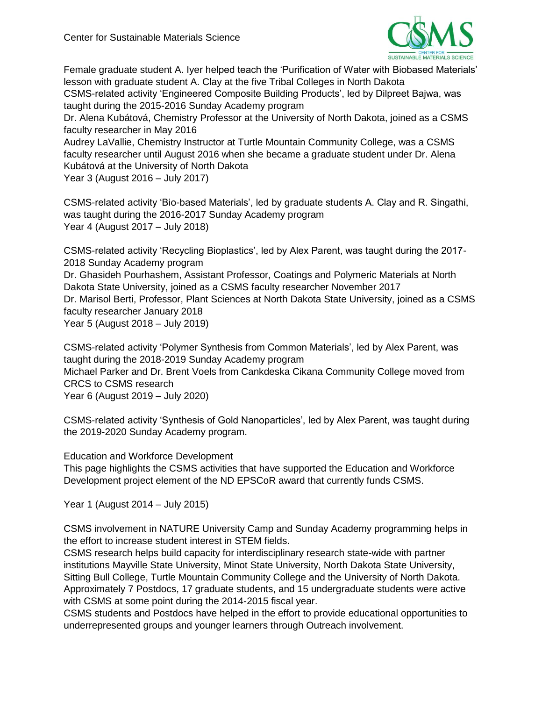

Female graduate student A. Iyer helped teach the 'Purification of Water with Biobased Materials' lesson with graduate student A. Clay at the five Tribal Colleges in North Dakota

CSMS-related activity 'Engineered Composite Building Products', led by Dilpreet Bajwa, was taught during the 2015-2016 Sunday Academy program

Dr. Alena Kubátová, Chemistry Professor at the University of North Dakota, joined as a CSMS faculty researcher in May 2016

Audrey LaVallie, Chemistry Instructor at Turtle Mountain Community College, was a CSMS faculty researcher until August 2016 when she became a graduate student under Dr. Alena Kubátová at the University of North Dakota

Year 3 (August 2016 – July 2017)

CSMS-related activity 'Bio-based Materials', led by graduate students A. Clay and R. Singathi, was taught during the 2016-2017 Sunday Academy program Year 4 (August 2017 – July 2018)

CSMS-related activity 'Recycling Bioplastics', led by Alex Parent, was taught during the 2017- 2018 Sunday Academy program Dr. Ghasideh Pourhashem, Assistant Professor, Coatings and Polymeric Materials at North Dakota State University, joined as a CSMS faculty researcher November 2017 Dr. Marisol Berti, Professor, Plant Sciences at North Dakota State University, joined as a CSMS faculty researcher January 2018 Year 5 (August 2018 – July 2019)

CSMS-related activity 'Polymer Synthesis from Common Materials', led by Alex Parent, was taught during the 2018-2019 Sunday Academy program Michael Parker and Dr. Brent Voels from Cankdeska Cikana Community College moved from CRCS to CSMS research

Year 6 (August 2019 – July 2020)

CSMS-related activity 'Synthesis of Gold Nanoparticles', led by Alex Parent, was taught during the 2019-2020 Sunday Academy program.

Education and Workforce Development

This page highlights the CSMS activities that have supported the Education and Workforce Development project element of the ND EPSCoR award that currently funds CSMS.

Year 1 (August 2014 – July 2015)

CSMS involvement in NATURE University Camp and Sunday Academy programming helps in the effort to increase student interest in STEM fields.

CSMS research helps build capacity for interdisciplinary research state-wide with partner institutions Mayville State University, Minot State University, North Dakota State University, Sitting Bull College, Turtle Mountain Community College and the University of North Dakota. Approximately 7 Postdocs, 17 graduate students, and 15 undergraduate students were active with CSMS at some point during the 2014-2015 fiscal year.

CSMS students and Postdocs have helped in the effort to provide educational opportunities to underrepresented groups and younger learners through Outreach involvement.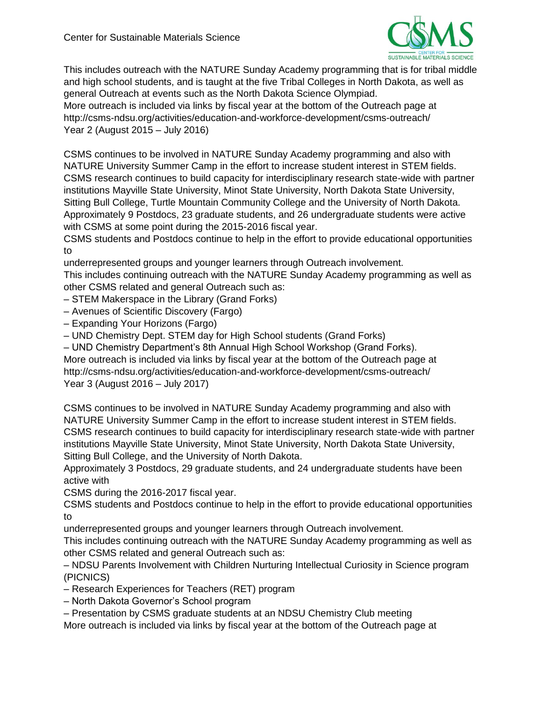

This includes outreach with the NATURE Sunday Academy programming that is for tribal middle and high school students, and is taught at the five Tribal Colleges in North Dakota, as well as general Outreach at events such as the North Dakota Science Olympiad.

More outreach is included via links by fiscal year at the bottom of the Outreach page at http://csms-ndsu.org/activities/education-and-workforce-development/csms-outreach/ Year 2 (August 2015 – July 2016)

CSMS continues to be involved in NATURE Sunday Academy programming and also with NATURE University Summer Camp in the effort to increase student interest in STEM fields. CSMS research continues to build capacity for interdisciplinary research state-wide with partner institutions Mayville State University, Minot State University, North Dakota State University, Sitting Bull College, Turtle Mountain Community College and the University of North Dakota. Approximately 9 Postdocs, 23 graduate students, and 26 undergraduate students were active with CSMS at some point during the 2015-2016 fiscal year.

CSMS students and Postdocs continue to help in the effort to provide educational opportunities to

underrepresented groups and younger learners through Outreach involvement.

This includes continuing outreach with the NATURE Sunday Academy programming as well as other CSMS related and general Outreach such as:

– STEM Makerspace in the Library (Grand Forks)

- Avenues of Scientific Discovery (Fargo)
- Expanding Your Horizons (Fargo)
- UND Chemistry Dept. STEM day for High School students (Grand Forks)

– UND Chemistry Department's 8th Annual High School Workshop (Grand Forks).

More outreach is included via links by fiscal year at the bottom of the Outreach page at http://csms-ndsu.org/activities/education-and-workforce-development/csms-outreach/ Year 3 (August 2016 – July 2017)

CSMS continues to be involved in NATURE Sunday Academy programming and also with NATURE University Summer Camp in the effort to increase student interest in STEM fields. CSMS research continues to build capacity for interdisciplinary research state-wide with partner institutions Mayville State University, Minot State University, North Dakota State University, Sitting Bull College, and the University of North Dakota.

Approximately 3 Postdocs, 29 graduate students, and 24 undergraduate students have been active with

CSMS during the 2016-2017 fiscal year.

CSMS students and Postdocs continue to help in the effort to provide educational opportunities to

underrepresented groups and younger learners through Outreach involvement.

This includes continuing outreach with the NATURE Sunday Academy programming as well as other CSMS related and general Outreach such as:

– NDSU Parents Involvement with Children Nurturing Intellectual Curiosity in Science program (PICNICS)

– Research Experiences for Teachers (RET) program

– North Dakota Governor's School program

– Presentation by CSMS graduate students at an NDSU Chemistry Club meeting

More outreach is included via links by fiscal year at the bottom of the Outreach page at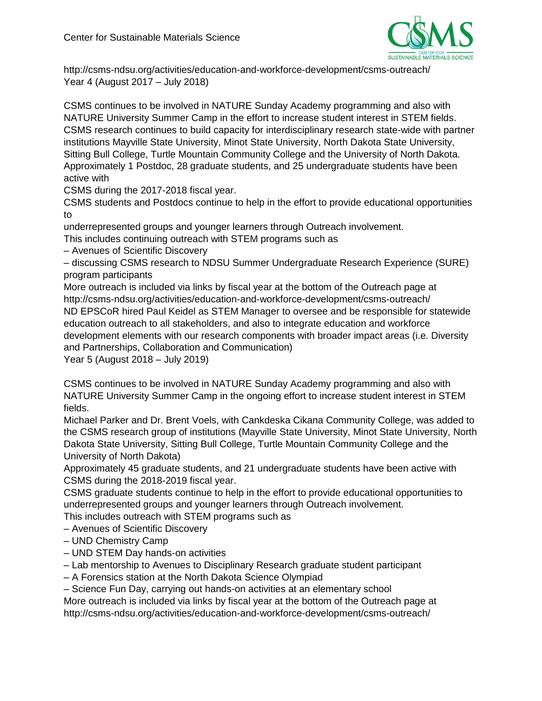

http://csms-ndsu.org/activities/education-and-workforce-development/csms-outreach/ Year 4 (August 2017 – July 2018)

CSMS continues to be involved in NATURE Sunday Academy programming and also with NATURE University Summer Camp in the effort to increase student interest in STEM fields. CSMS research continues to build capacity for interdisciplinary research state-wide with partner institutions Mayville State University, Minot State University, North Dakota State University, Sitting Bull College, Turtle Mountain Community College and the University of North Dakota. Approximately 1 Postdoc, 28 graduate students, and 25 undergraduate students have been active with

CSMS during the 2017-2018 fiscal year.

CSMS students and Postdocs continue to help in the effort to provide educational opportunities to

underrepresented groups and younger learners through Outreach involvement.

This includes continuing outreach with STEM programs such as

– Avenues of Scientific Discovery

– discussing CSMS research to NDSU Summer Undergraduate Research Experience (SURE) program participants

More outreach is included via links by fiscal year at the bottom of the Outreach page at http://csms-ndsu.org/activities/education-and-workforce-development/csms-outreach/ ND EPSCoR hired Paul Keidel as STEM Manager to oversee and be responsible for statewide education outreach to all stakeholders, and also to integrate education and workforce development elements with our research components with broader impact areas (i.e. Diversity and Partnerships, Collaboration and Communication)

Year 5 (August 2018 – July 2019)

CSMS continues to be involved in NATURE Sunday Academy programming and also with NATURE University Summer Camp in the ongoing effort to increase student interest in STEM fields.

Michael Parker and Dr. Brent Voels, with Cankdeska Cikana Community College, was added to the CSMS research group of institutions (Mayville State University, Minot State University, North Dakota State University, Sitting Bull College, Turtle Mountain Community College and the University of North Dakota)

Approximately 45 graduate students, and 21 undergraduate students have been active with CSMS during the 2018-2019 fiscal year.

CSMS graduate students continue to help in the effort to provide educational opportunities to underrepresented groups and younger learners through Outreach involvement.

This includes outreach with STEM programs such as

– Avenues of Scientific Discovery

- UND Chemistry Camp
- UND STEM Day hands-on activities
- Lab mentorship to Avenues to Disciplinary Research graduate student participant
- A Forensics station at the North Dakota Science Olympiad

– Science Fun Day, carrying out hands-on activities at an elementary school

More outreach is included via links by fiscal year at the bottom of the Outreach page at http://csms-ndsu.org/activities/education-and-workforce-development/csms-outreach/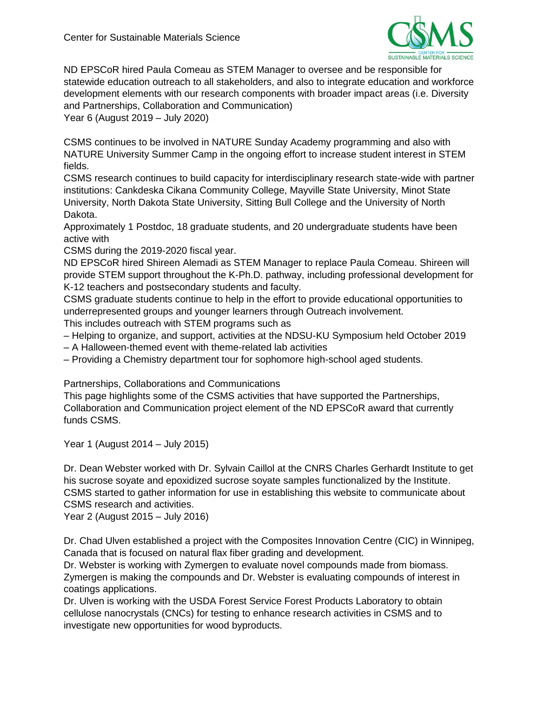

ND EPSCoR hired Paula Comeau as STEM Manager to oversee and be responsible for statewide education outreach to all stakeholders, and also to integrate education and workforce development elements with our research components with broader impact areas (i.e. Diversity and Partnerships, Collaboration and Communication) Year 6 (August 2019 – July 2020)

CSMS continues to be involved in NATURE Sunday Academy programming and also with NATURE University Summer Camp in the ongoing effort to increase student interest in STEM fields.

CSMS research continues to build capacity for interdisciplinary research state-wide with partner institutions: Cankdeska Cikana Community College, Mayville State University, Minot State University, North Dakota State University, Sitting Bull College and the University of North Dakota.

Approximately 1 Postdoc, 18 graduate students, and 20 undergraduate students have been active with

CSMS during the 2019-2020 fiscal year.

ND EPSCoR hired Shireen Alemadi as STEM Manager to replace Paula Comeau. Shireen will provide STEM support throughout the K-Ph.D. pathway, including professional development for K-12 teachers and postsecondary students and faculty.

CSMS graduate students continue to help in the effort to provide educational opportunities to underrepresented groups and younger learners through Outreach involvement.

This includes outreach with STEM programs such as

– Helping to organize, and support, activities at the NDSU-KU Symposium held October 2019

– A Halloween-themed event with theme-related lab activities

– Providing a Chemistry department tour for sophomore high-school aged students.

Partnerships, Collaborations and Communications

This page highlights some of the CSMS activities that have supported the Partnerships, Collaboration and Communication project element of the ND EPSCoR award that currently funds CSMS.

Year 1 (August 2014 – July 2015)

Dr. Dean Webster worked with Dr. Sylvain Caillol at the CNRS Charles Gerhardt Institute to get his sucrose soyate and epoxidized sucrose soyate samples functionalized by the Institute. CSMS started to gather information for use in establishing this website to communicate about CSMS research and activities.

Year 2 (August 2015 – July 2016)

Dr. Chad Ulven established a project with the Composites Innovation Centre (CIC) in Winnipeg, Canada that is focused on natural flax fiber grading and development.

Dr. Webster is working with Zymergen to evaluate novel compounds made from biomass. Zymergen is making the compounds and Dr. Webster is evaluating compounds of interest in coatings applications.

Dr. Ulven is working with the USDA Forest Service Forest Products Laboratory to obtain cellulose nanocrystals (CNCs) for testing to enhance research activities in CSMS and to investigate new opportunities for wood byproducts.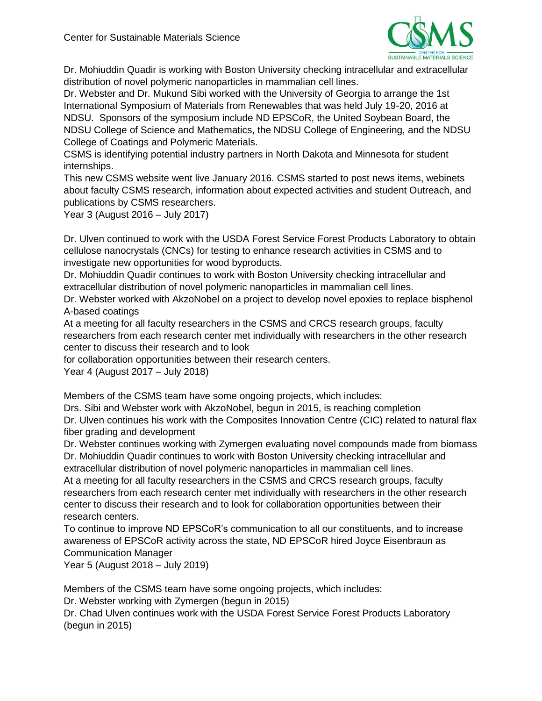

Dr. Mohiuddin Quadir is working with Boston University checking intracellular and extracellular distribution of novel polymeric nanoparticles in mammalian cell lines.

Dr. Webster and Dr. Mukund Sibi worked with the University of Georgia to arrange the 1st International Symposium of Materials from Renewables that was held July 19-20, 2016 at NDSU. Sponsors of the symposium include ND EPSCoR, the United Soybean Board, the NDSU College of Science and Mathematics, the NDSU College of Engineering, and the NDSU College of Coatings and Polymeric Materials.

CSMS is identifying potential industry partners in North Dakota and Minnesota for student internships.

This new CSMS website went live January 2016. CSMS started to post news items, webinets about faculty CSMS research, information about expected activities and student Outreach, and publications by CSMS researchers.

Year 3 (August 2016 – July 2017)

Dr. Ulven continued to work with the USDA Forest Service Forest Products Laboratory to obtain cellulose nanocrystals (CNCs) for testing to enhance research activities in CSMS and to investigate new opportunities for wood byproducts.

Dr. Mohiuddin Quadir continues to work with Boston University checking intracellular and extracellular distribution of novel polymeric nanoparticles in mammalian cell lines.

Dr. Webster worked with AkzoNobel on a project to develop novel epoxies to replace bisphenol A-based coatings

At a meeting for all faculty researchers in the CSMS and CRCS research groups, faculty researchers from each research center met individually with researchers in the other research center to discuss their research and to look

for collaboration opportunities between their research centers.

Year 4 (August 2017 – July 2018)

Members of the CSMS team have some ongoing projects, which includes:

Drs. Sibi and Webster work with AkzoNobel, begun in 2015, is reaching completion Dr. Ulven continues his work with the Composites Innovation Centre (CIC) related to natural flax fiber grading and development

Dr. Webster continues working with Zymergen evaluating novel compounds made from biomass Dr. Mohiuddin Quadir continues to work with Boston University checking intracellular and

extracellular distribution of novel polymeric nanoparticles in mammalian cell lines.

At a meeting for all faculty researchers in the CSMS and CRCS research groups, faculty researchers from each research center met individually with researchers in the other research center to discuss their research and to look for collaboration opportunities between their research centers.

To continue to improve ND EPSCoR's communication to all our constituents, and to increase awareness of EPSCoR activity across the state, ND EPSCoR hired Joyce Eisenbraun as Communication Manager

Year 5 (August 2018 – July 2019)

Members of the CSMS team have some ongoing projects, which includes:

Dr. Webster working with Zymergen (begun in 2015)

Dr. Chad Ulven continues work with the USDA Forest Service Forest Products Laboratory (begun in 2015)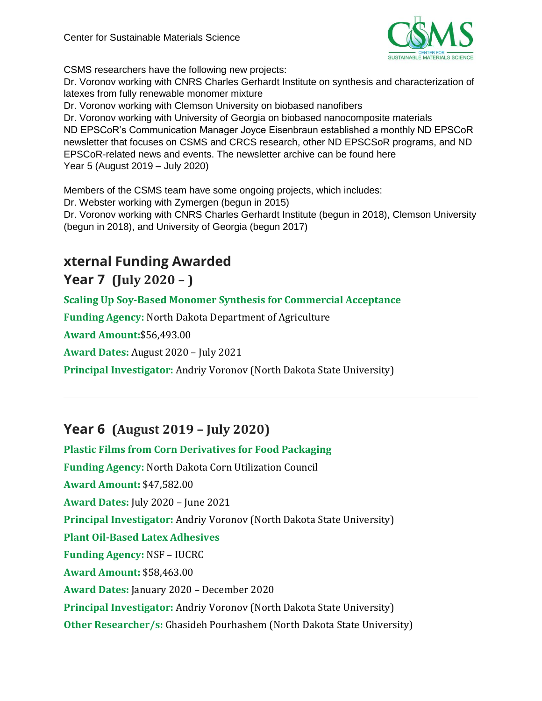

CSMS researchers have the following new projects:

Dr. Voronov working with CNRS Charles Gerhardt Institute on synthesis and characterization of latexes from fully renewable monomer mixture

Dr. Voronov working with Clemson University on biobased nanofibers

Dr. Voronov working with University of Georgia on biobased nanocomposite materials ND EPSCoR's Communication Manager Joyce Eisenbraun established a monthly ND EPSCoR newsletter that focuses on CSMS and CRCS research, other ND EPSCSoR programs, and ND EPSCoR-related news and events. The newsletter archive can be found here Year 5 (August 2019 – July 2020)

Members of the CSMS team have some ongoing projects, which includes: Dr. Webster working with Zymergen (begun in 2015) Dr. Voronov working with CNRS Charles Gerhardt Institute (begun in 2018), Clemson University (begun in 2018), and University of Georgia (begun 2017)

# **xternal Funding Awarded**

# **Year 7 (July 2020 – )**

**Scaling Up Soy-Based Monomer Synthesis for Commercial Acceptance**

**Funding Agency:** North Dakota Department of Agriculture

**Award Amount:**\$56,493.00

**Award Dates:** August 2020 – July 2021

**Principal Investigator:** Andriy Voronov (North Dakota State University)

# **Year 6 (August 2019 – July 2020)**

**Plastic Films from Corn Derivatives for Food Packaging Funding Agency:** North Dakota Corn Utilization Council **Award Amount:** \$47,582.00 **Award Dates:** July 2020 – June 2021 **Principal Investigator:** Andriy Voronov (North Dakota State University) **Plant Oil-Based Latex Adhesives Funding Agency:** NSF – IUCRC **Award Amount:** \$58,463.00 **Award Dates:** January 2020 – December 2020 **Principal Investigator:** Andriy Voronov (North Dakota State University) **Other Researcher/s:** Ghasideh Pourhashem (North Dakota State University)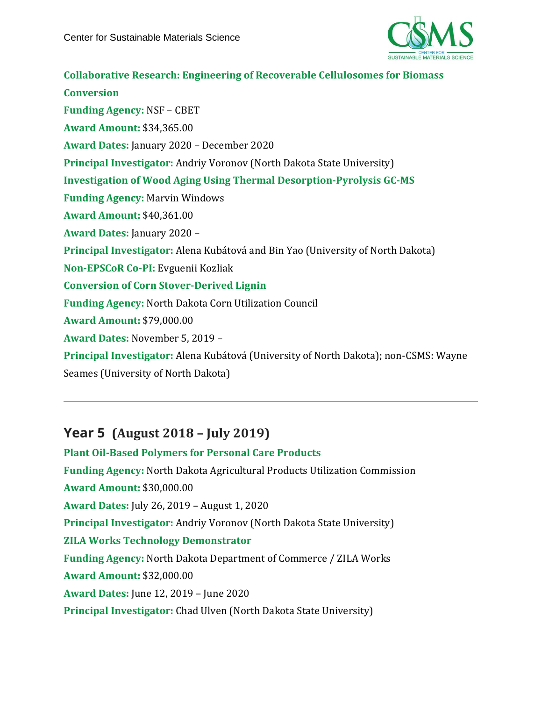

**Collaborative Research: Engineering of Recoverable Cellulosomes for Biomass Conversion Funding Agency:** NSF – CBET **Award Amount:** \$34,365.00 **Award Dates:** January 2020 – December 2020 **Principal Investigator:** Andriy Voronov (North Dakota State University) **Investigation of Wood Aging Using Thermal Desorption-Pyrolysis GC-MS Funding Agency:** Marvin Windows **Award Amount:** \$40,361.00 **Award Dates:** January 2020 – **Principal Investigator:** Alena Kubátová and Bin Yao (University of North Dakota) **Non-EPSCoR Co-PI:** Evguenii Kozliak **Conversion of Corn Stover-Derived Lignin Funding Agency:** North Dakota Corn Utilization Council **Award Amount:** \$79,000.00 **Award Dates:** November 5, 2019 – **Principal Investigator:** Alena Kubátová (University of North Dakota); non-CSMS: Wayne Seames (University of North Dakota)

# **Year 5 (August 2018 – July 2019)**

**Plant Oil-Based Polymers for Personal Care Products Funding Agency:** North Dakota Agricultural Products Utilization Commission **Award Amount:** \$30,000.00 **Award Dates:** July 26, 2019 – August 1, 2020 **Principal Investigator:** Andriy Voronov (North Dakota State University) **ZILA Works Technology Demonstrator Funding Agency:** North Dakota Department of Commerce / ZILA Works **Award Amount:** \$32,000.00 **Award Dates:** June 12, 2019 – June 2020 **Principal Investigator:** Chad Ulven (North Dakota State University)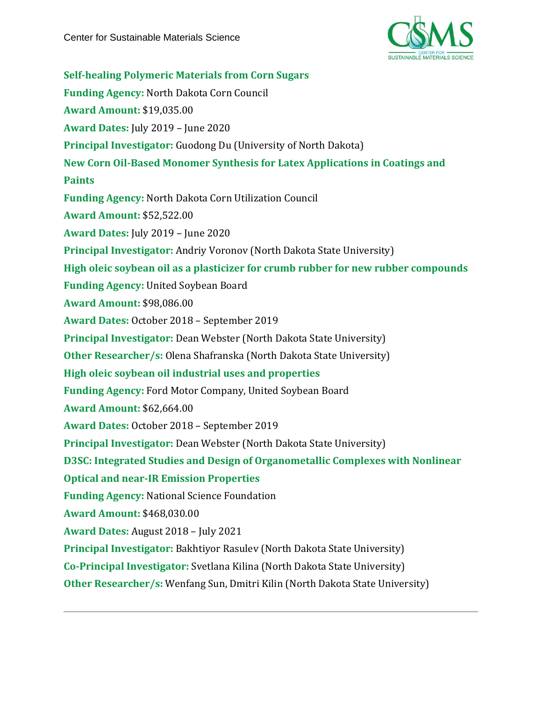

**Self-healing Polymeric Materials from Corn Sugars Funding Agency:** North Dakota Corn Council **Award Amount:** \$19,035.00 **Award Dates:** July 2019 – June 2020 **Principal Investigator:** Guodong Du (University of North Dakota) **New Corn Oil-Based Monomer Synthesis for Latex Applications in Coatings and Paints Funding Agency:** North Dakota Corn Utilization Council **Award Amount:** \$52,522.00 **Award Dates:** July 2019 – June 2020 **Principal Investigator:** Andriy Voronov (North Dakota State University) **High oleic soybean oil as a plasticizer for crumb rubber for new rubber compounds Funding Agency:** United Soybean Board **Award Amount:** \$98,086.00 **Award Dates:** October 2018 – September 2019 **Principal Investigator:** Dean Webster (North Dakota State University) **Other Researcher/s:** Olena Shafranska (North Dakota State University) **High oleic soybean oil industrial uses and properties Funding Agency:** Ford Motor Company, United Soybean Board **Award Amount:** \$62,664.00 **Award Dates:** October 2018 – September 2019 **Principal Investigator:** Dean Webster (North Dakota State University) **D3SC: Integrated Studies and Design of Organometallic Complexes with Nonlinear Optical and near-IR Emission Properties Funding Agency:** National Science Foundation **Award Amount:** \$468,030.00 **Award Dates:** August 2018 – July 2021 **Principal Investigator:** Bakhtiyor Rasulev (North Dakota State University) **Co-Principal Investigator:** Svetlana Kilina (North Dakota State University) **Other Researcher/s:** Wenfang Sun, Dmitri Kilin (North Dakota State University)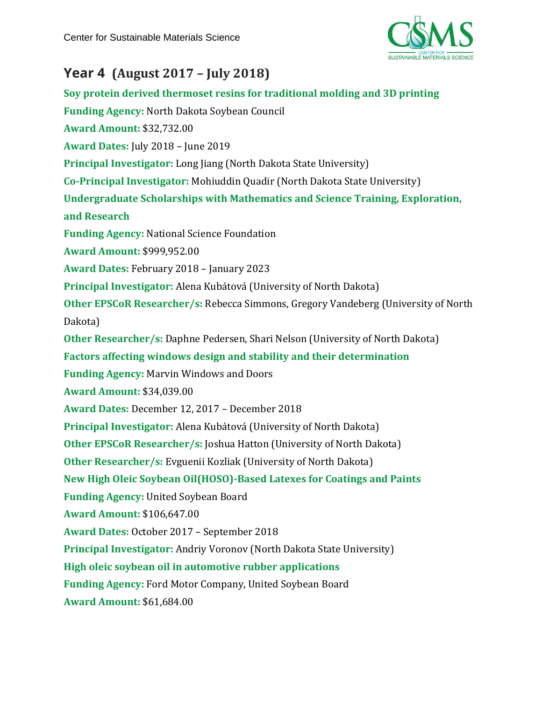

# **Year 4 (August 2017 – July 2018)**

**Soy protein derived thermoset resins for traditional molding and 3D printing Funding Agency:** North Dakota Soybean Council **Award Amount:** \$32,732.00 **Award Dates:** July 2018 – June 2019 **Principal Investigator:** Long Jiang (North Dakota State University) **Co-Principal Investigator:** Mohiuddin Quadir (North Dakota State University) **Undergraduate Scholarships with Mathematics and Science Training, Exploration, and Research Funding Agency:** National Science Foundation **Award Amount:** \$999,952.00 **Award Dates:** February 2018 – January 2023 **Principal Investigator:** Alena Kubátová (University of North Dakota) **Other EPSCoR Researcher/s:** Rebecca Simmons, Gregory Vandeberg (University of North Dakota) **Other Researcher/s:** Daphne Pedersen, Shari Nelson (University of North Dakota) **Factors affecting windows design and stability and their determination Funding Agency:** Marvin Windows and Doors **Award Amount:** \$34,039.00 **Award Dates:** December 12, 2017 – December 2018 **Principal Investigator:** Alena Kubátová (University of North Dakota) **Other EPSCoR Researcher/s:** Joshua Hatton (University of North Dakota) **Other Researcher/s:** Evguenii Kozliak (University of North Dakota) **New High Oleic Soybean Oil(HOSO)-Based Latexes for Coatings and Paints Funding Agency:** United Soybean Board **Award Amount:** \$106,647.00 **Award Dates:** October 2017 – September 2018 **Principal Investigator:** Andriy Voronov (North Dakota State University) **High oleic soybean oil in automotive rubber applications Funding Agency:** Ford Motor Company, United Soybean Board **Award Amount:** \$61,684.00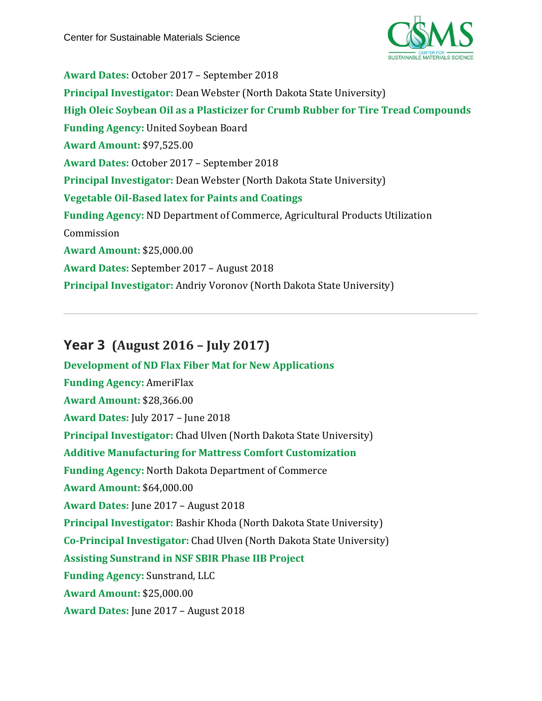

**Award Dates:** October 2017 – September 2018 **Principal Investigator:** Dean Webster (North Dakota State University) **High Oleic Soybean Oil as a Plasticizer for Crumb Rubber for Tire Tread Compounds Funding Agency:** United Soybean Board **Award Amount:** \$97,525.00 **Award Dates:** October 2017 – September 2018 **Principal Investigator:** Dean Webster (North Dakota State University) **Vegetable Oil-Based latex for Paints and Coatings Funding Agency:** ND Department of Commerce, Agricultural Products Utilization Commission **Award Amount:** \$25,000.00 **Award Dates:** September 2017 – August 2018 **Principal Investigator:** Andriy Voronov (North Dakota State University)

# **Year 3 (August 2016 – July 2017)**

**Development of ND Flax Fiber Mat for New Applications Funding Agency:** AmeriFlax **Award Amount:** \$28,366.00 **Award Dates:** July 2017 – June 2018 **Principal Investigator:** Chad Ulven (North Dakota State University) **Additive Manufacturing for Mattress Comfort Customization Funding Agency:** North Dakota Department of Commerce **Award Amount:** \$64,000.00 **Award Dates:** June 2017 – August 2018 **Principal Investigator:** Bashir Khoda (North Dakota State University) **Co-Principal Investigator:** Chad Ulven (North Dakota State University) **Assisting Sunstrand in NSF SBIR Phase IIB Project Funding Agency:** Sunstrand, LLC **Award Amount:** \$25,000.00 **Award Dates:** June 2017 – August 2018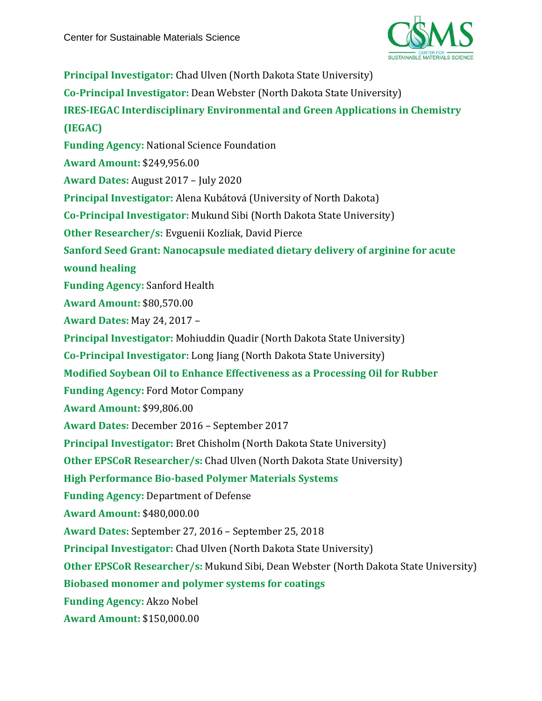

**Principal Investigator:** Chad Ulven (North Dakota State University) **Co-Principal Investigator:** Dean Webster (North Dakota State University) **IRES-IEGAC Interdisciplinary Environmental and Green Applications in Chemistry (IEGAC) Funding Agency:** National Science Foundation **Award Amount:** \$249,956.00 **Award Dates:** August 2017 – July 2020 **Principal Investigator:** Alena Kubátová (University of North Dakota) **Co-Principal Investigator:** Mukund Sibi (North Dakota State University) **Other Researcher/s:** Evguenii Kozliak, David Pierce **Sanford Seed Grant: Nanocapsule mediated dietary delivery of arginine for acute wound healing Funding Agency:** Sanford Health **Award Amount:** \$80,570.00 **Award Dates:** May 24, 2017 – **Principal Investigator:** Mohiuddin Quadir (North Dakota State University) **Co-Principal Investigator:** Long Jiang (North Dakota State University) **Modified Soybean Oil to Enhance Effectiveness as a Processing Oil for Rubber Funding Agency:** Ford Motor Company **Award Amount:** \$99,806.00 **Award Dates:** December 2016 – September 2017 **Principal Investigator:** Bret Chisholm (North Dakota State University) **Other EPSCoR Researcher/s:** Chad Ulven (North Dakota State University) **High Performance Bio-based Polymer Materials Systems Funding Agency:** Department of Defense **Award Amount:** \$480,000.00 **Award Dates:** September 27, 2016 – September 25, 2018 **Principal Investigator:** Chad Ulven (North Dakota State University) **Other EPSCoR Researcher/s:** Mukund Sibi, Dean Webster (North Dakota State University) **Biobased monomer and polymer systems for coatings Funding Agency:** Akzo Nobel **Award Amount:** \$150,000.00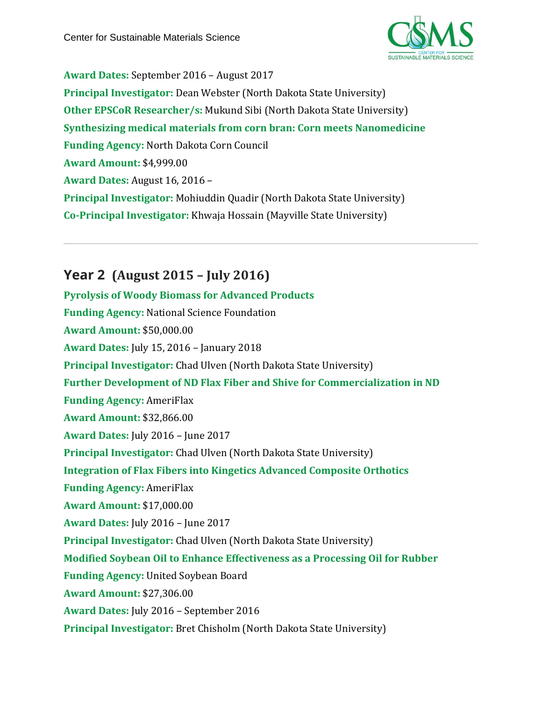

**Award Dates:** September 2016 – August 2017 **Principal Investigator:** Dean Webster (North Dakota State University) **Other EPSCoR Researcher/s:** Mukund Sibi (North Dakota State University) **Synthesizing medical materials from corn bran: Corn meets Nanomedicine Funding Agency:** North Dakota Corn Council **Award Amount:** \$4,999.00 **Award Dates:** August 16, 2016 – **Principal Investigator:** Mohiuddin Quadir (North Dakota State University) **Co-Principal Investigator:** Khwaja Hossain (Mayville State University)

# **Year 2 (August 2015 – July 2016)**

**Pyrolysis of Woody Biomass for Advanced Products Funding Agency:** National Science Foundation **Award Amount:** \$50,000.00 **Award Dates:** July 15, 2016 – January 2018 **Principal Investigator:** Chad Ulven (North Dakota State University) **Further Development of ND Flax Fiber and Shive for Commercialization in ND Funding Agency:** AmeriFlax **Award Amount:** \$32,866.00 **Award Dates:** July 2016 – June 2017 **Principal Investigator:** Chad Ulven (North Dakota State University) **Integration of Flax Fibers into Kingetics Advanced Composite Orthotics Funding Agency:** AmeriFlax **Award Amount:** \$17,000.00 **Award Dates:** July 2016 – June 2017 **Principal Investigator:** Chad Ulven (North Dakota State University) **Modified Soybean Oil to Enhance Effectiveness as a Processing Oil for Rubber Funding Agency:** United Soybean Board **Award Amount:** \$27,306.00 **Award Dates:** July 2016 – September 2016 **Principal Investigator:** Bret Chisholm (North Dakota State University)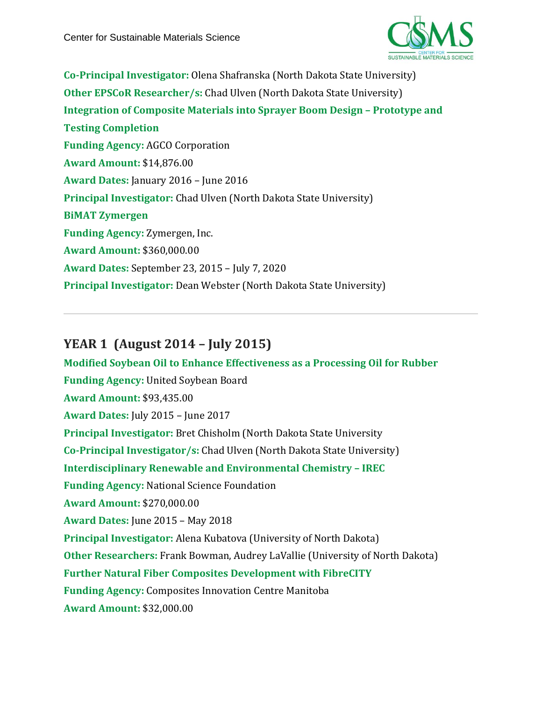

**Co-Principal Investigator:** Olena Shafranska (North Dakota State University) **Other EPSCoR Researcher/s:** Chad Ulven (North Dakota State University) **Integration of Composite Materials into Sprayer Boom Design – Prototype and Testing Completion Funding Agency:** AGCO Corporation **Award Amount:** \$14,876.00 **Award Dates:** January 2016 – June 2016 **Principal Investigator:** Chad Ulven (North Dakota State University) **BiMAT Zymergen Funding Agency:** Zymergen, Inc. **Award Amount:** \$360,000.00 **Award Dates:** September 23, 2015 – July 7, 2020 **Principal Investigator:** Dean Webster (North Dakota State University)

# **YEAR 1 (August 2014 – July 2015)**

**Modified Soybean Oil to Enhance Effectiveness as a Processing Oil for Rubber Funding Agency:** United Soybean Board **Award Amount:** \$93,435.00 **Award Dates:** July 2015 – June 2017 **Principal Investigator:** Bret Chisholm (North Dakota State University **Co-Principal Investigator/s:** Chad Ulven (North Dakota State University) **Interdisciplinary Renewable and Environmental Chemistry – IREC Funding Agency:** National Science Foundation **Award Amount:** \$270,000.00 **Award Dates:** June 2015 – May 2018 **Principal Investigator:** Alena Kubatova (University of North Dakota) **Other Researchers:** Frank Bowman, Audrey LaVallie (University of North Dakota) **Further Natural Fiber Composites Development with FibreCITY Funding Agency:** Composites Innovation Centre Manitoba **Award Amount:** \$32,000.00